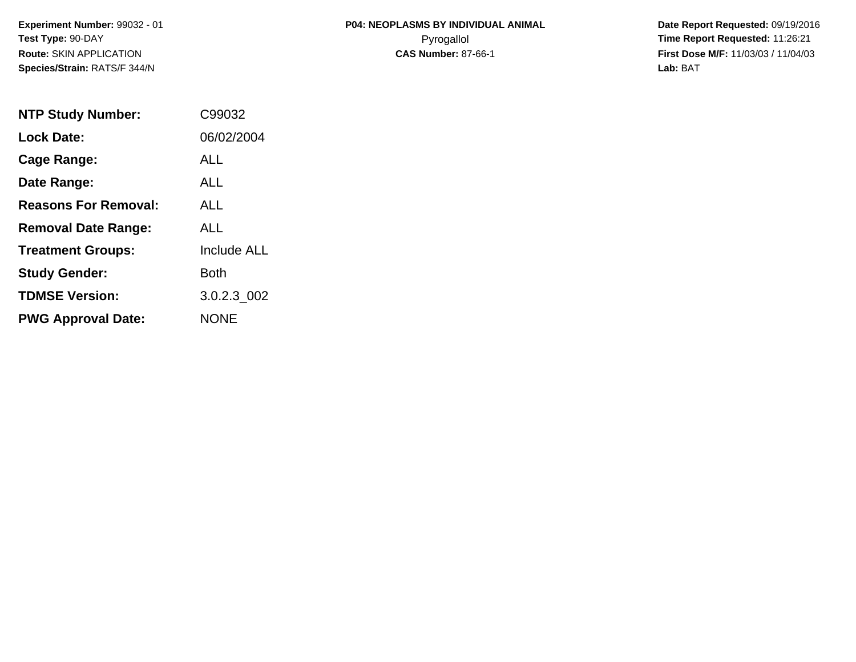| <b>P04: NEOPLASMS BY INDIVIDUAL ANIMAL</b> |
|--------------------------------------------|
| Pyrogallol                                 |
| <b>CAS Number: 87-66-1</b>                 |

 **Date Report Requested:** 09/19/2016 **Time Report Requested: 11:26:21 First Dose M/F:** 11/03/03 / 11/04/03<br>**Lab:** BAT **Lab:** BAT

| <b>NTP Study Number:</b>    | C99032             |
|-----------------------------|--------------------|
| <b>Lock Date:</b>           | 06/02/2004         |
| Cage Range:                 | AI I               |
| Date Range:                 | ALL                |
| <b>Reasons For Removal:</b> | AI I               |
| <b>Removal Date Range:</b>  | ALL                |
| <b>Treatment Groups:</b>    | <b>Include ALL</b> |
| <b>Study Gender:</b>        | Both               |
| <b>TDMSE Version:</b>       | 3.0.2.3 002        |
| <b>PWG Approval Date:</b>   | <b>NONE</b>        |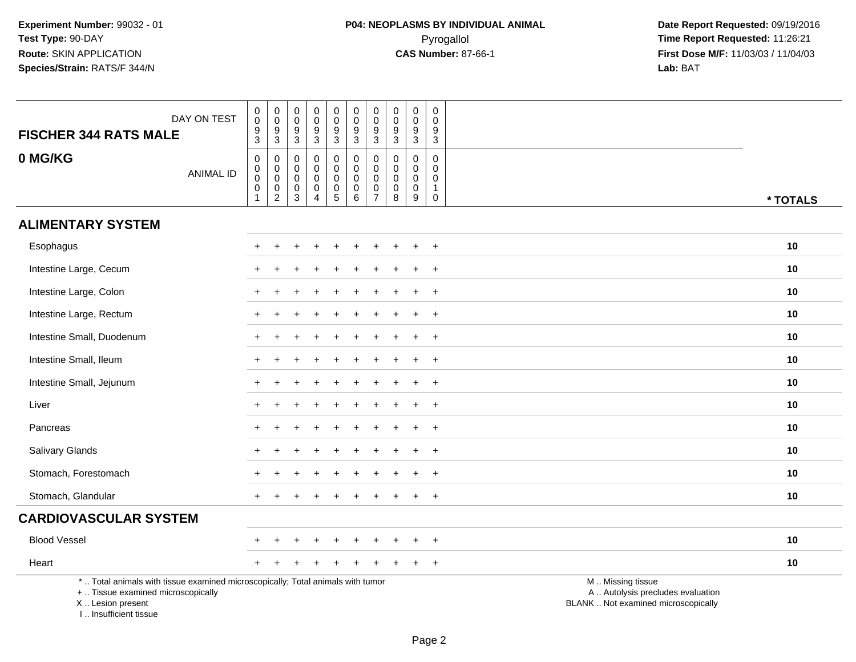| DAY ON TEST<br><b>FISCHER 344 RATS MALE</b>                                                                                                                         | $\begin{smallmatrix}0\0\0\end{smallmatrix}$<br>$\overline{9}$<br>3 | $_{\rm 0}^{\rm 0}$<br>$\frac{9}{3}$  | $\pmb{0}$<br>$\mathbf 0$<br>$\boldsymbol{9}$<br>$\mathbf{3}$     | 0<br>$\mathbf 0$<br>$\boldsymbol{9}$<br>3                        | $\begin{smallmatrix} 0\\0 \end{smallmatrix}$<br>$\overline{9}$<br>$\mathbf{3}$ | $_{\rm 0}^{\rm 0}$<br>$\overline{9}$<br>$\mathbf{3}$        | $_{\rm 0}^{\rm 0}$<br>$\boldsymbol{9}$<br>3                            | ${\bf 0}$<br>$\mathbf 0$<br>$\overline{9}$<br>3   | $\mathsf{O}\xspace$<br>$\mathbf 0$<br>$9\,$<br>$\mathbf{3}$ | 0<br>$\mathbf 0$<br>9<br>3                                             |                                                                                               |
|---------------------------------------------------------------------------------------------------------------------------------------------------------------------|--------------------------------------------------------------------|--------------------------------------|------------------------------------------------------------------|------------------------------------------------------------------|--------------------------------------------------------------------------------|-------------------------------------------------------------|------------------------------------------------------------------------|---------------------------------------------------|-------------------------------------------------------------|------------------------------------------------------------------------|-----------------------------------------------------------------------------------------------|
| 0 MG/KG<br><b>ANIMAL ID</b>                                                                                                                                         | 0<br>$\mathbf 0$<br>$\mathbf 0$<br>$\mathbf 0$<br>$\mathbf{1}$     | 0<br>$\overline{0}$<br>$\frac{0}{2}$ | $\mathbf 0$<br>$\boldsymbol{0}$<br>$\mathbf 0$<br>$\pmb{0}$<br>3 | $\mathbf 0$<br>$\mathbf 0$<br>$\mathbf 0$<br>0<br>$\overline{4}$ | 0<br>$\mathbf 0$<br>$\mathbf 0$<br>$\frac{0}{5}$                               | 0<br>$\boldsymbol{0}$<br>$\mathbf 0$<br>$\overline{0}$<br>6 | $\mathbf 0$<br>$\pmb{0}$<br>$\mathbf 0$<br>$\pmb{0}$<br>$\overline{7}$ | 0<br>$\mathbf 0$<br>$\mathbf 0$<br>$\pmb{0}$<br>8 | $\mathbf 0$<br>$\mathbf 0$<br>$\mathbf 0$<br>$\pmb{0}$<br>9 | $\mathbf 0$<br>$\mathbf 0$<br>$\mathbf 0$<br>$\mathbf{1}$<br>$\pmb{0}$ | * TOTALS                                                                                      |
| <b>ALIMENTARY SYSTEM</b>                                                                                                                                            |                                                                    |                                      |                                                                  |                                                                  |                                                                                |                                                             |                                                                        |                                                   |                                                             |                                                                        |                                                                                               |
| Esophagus                                                                                                                                                           |                                                                    |                                      |                                                                  |                                                                  |                                                                                |                                                             |                                                                        |                                                   |                                                             | $\ddot{}$                                                              | 10                                                                                            |
| Intestine Large, Cecum                                                                                                                                              |                                                                    |                                      |                                                                  |                                                                  |                                                                                |                                                             |                                                                        |                                                   |                                                             | $\ddot{}$                                                              | 10                                                                                            |
| Intestine Large, Colon                                                                                                                                              |                                                                    |                                      |                                                                  |                                                                  |                                                                                |                                                             |                                                                        |                                                   |                                                             | $\ddot{}$                                                              | 10                                                                                            |
| Intestine Large, Rectum                                                                                                                                             |                                                                    |                                      |                                                                  |                                                                  |                                                                                |                                                             |                                                                        |                                                   |                                                             | $\ddot{}$                                                              | 10                                                                                            |
| Intestine Small, Duodenum                                                                                                                                           |                                                                    |                                      |                                                                  |                                                                  |                                                                                |                                                             |                                                                        |                                                   |                                                             | $\ddot{}$                                                              | 10                                                                                            |
| Intestine Small, Ileum                                                                                                                                              |                                                                    |                                      |                                                                  |                                                                  |                                                                                |                                                             |                                                                        |                                                   |                                                             | $+$                                                                    | 10                                                                                            |
| Intestine Small, Jejunum                                                                                                                                            |                                                                    |                                      |                                                                  |                                                                  |                                                                                |                                                             |                                                                        |                                                   | $\ddot{}$                                                   | $+$                                                                    | 10                                                                                            |
| Liver                                                                                                                                                               |                                                                    |                                      |                                                                  |                                                                  |                                                                                |                                                             |                                                                        |                                                   |                                                             | $\ddot{}$                                                              | 10                                                                                            |
| Pancreas                                                                                                                                                            |                                                                    |                                      |                                                                  |                                                                  |                                                                                |                                                             |                                                                        |                                                   |                                                             | $\ddot{}$                                                              | 10                                                                                            |
| Salivary Glands                                                                                                                                                     |                                                                    |                                      |                                                                  |                                                                  |                                                                                |                                                             |                                                                        |                                                   |                                                             | $+$                                                                    | 10                                                                                            |
| Stomach, Forestomach                                                                                                                                                |                                                                    |                                      |                                                                  |                                                                  |                                                                                |                                                             |                                                                        |                                                   |                                                             | $\ddot{}$                                                              | 10                                                                                            |
| Stomach, Glandular                                                                                                                                                  |                                                                    |                                      |                                                                  |                                                                  |                                                                                |                                                             |                                                                        |                                                   |                                                             | $\overline{+}$                                                         | 10                                                                                            |
| <b>CARDIOVASCULAR SYSTEM</b>                                                                                                                                        |                                                                    |                                      |                                                                  |                                                                  |                                                                                |                                                             |                                                                        |                                                   |                                                             |                                                                        |                                                                                               |
| <b>Blood Vessel</b>                                                                                                                                                 |                                                                    |                                      |                                                                  |                                                                  |                                                                                |                                                             |                                                                        |                                                   |                                                             | $\overline{+}$                                                         | 10                                                                                            |
| Heart                                                                                                                                                               |                                                                    |                                      |                                                                  |                                                                  |                                                                                |                                                             |                                                                        |                                                   |                                                             | $\overline{+}$                                                         | 10                                                                                            |
| *  Total animals with tissue examined microscopically; Total animals with tumor<br>+  Tissue examined microscopically<br>X  Lesion present<br>I Insufficient tissue |                                                                    |                                      |                                                                  |                                                                  |                                                                                |                                                             |                                                                        |                                                   |                                                             |                                                                        | M  Missing tissue<br>A  Autolysis precludes evaluation<br>BLANK  Not examined microscopically |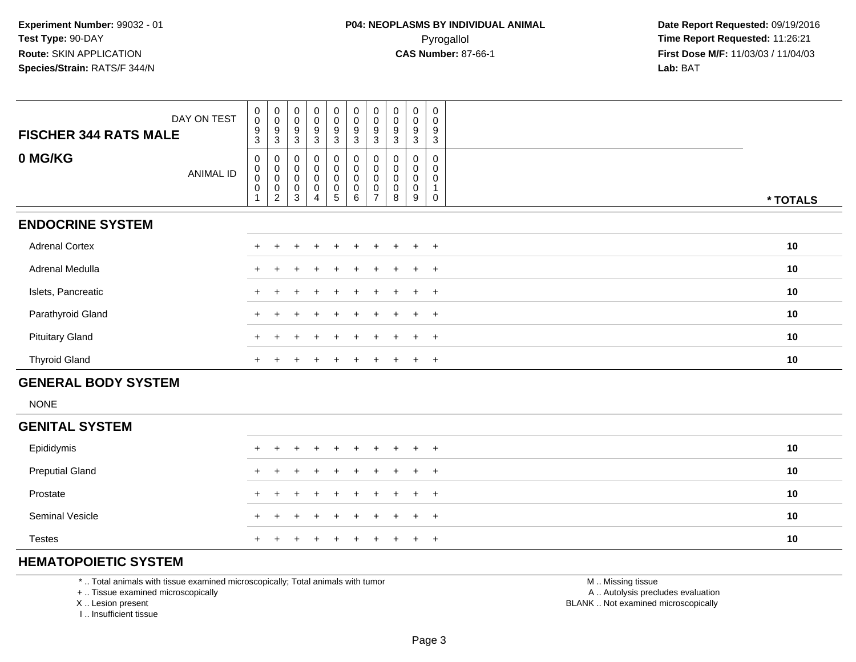| DAY ON TEST                  | $\begin{smallmatrix} 0\\0 \end{smallmatrix}$    | $_{\rm 0}^{\rm 0}$                 | $\begin{smallmatrix} 0\\0 \end{smallmatrix}$ | $\begin{smallmatrix} 0\\0 \end{smallmatrix}$       | $\begin{smallmatrix} 0\\0 \end{smallmatrix}$ | $_{\rm 0}^{\rm 0}$                                | $\begin{smallmatrix} 0\\0 \end{smallmatrix}$ | $\begin{smallmatrix} 0\\0 \end{smallmatrix}$ | $\begin{smallmatrix} 0\\0 \end{smallmatrix}$ | 0<br>$\mathbf 0$ |          |
|------------------------------|-------------------------------------------------|------------------------------------|----------------------------------------------|----------------------------------------------------|----------------------------------------------|---------------------------------------------------|----------------------------------------------|----------------------------------------------|----------------------------------------------|------------------|----------|
| <b>FISCHER 344 RATS MALE</b> | $9\,$<br>3                                      | 9<br>3                             | 9<br>3                                       | 9<br>3                                             | 9<br>3                                       | $\boldsymbol{9}$<br>3                             | 9<br>3                                       | 9<br>3                                       | 9<br>3                                       | 9<br>3           |          |
| 0 MG/KG<br>ANIMAL ID         | 0<br>$\pmb{0}$<br>$\pmb{0}$<br>$\boldsymbol{0}$ | 0<br>0<br>0<br>0<br>$\overline{c}$ | 0<br>0<br>$\pmb{0}$<br>0<br>3                | 0<br>0<br>$\pmb{0}$<br>$\pmb{0}$<br>$\overline{4}$ | 0<br>0<br>$\mathbf 0$<br>0<br>5              | 0<br>$\pmb{0}$<br>$\mathbf 0$<br>$\mathbf 0$<br>6 | 0                                            | 0<br>0<br>0<br>8                             | 0<br>$\pmb{0}$<br>0<br>0<br>9                | 0<br>0<br>0<br>0 | * TOTALS |
| <b>ENDOCRINE SYSTEM</b>      |                                                 |                                    |                                              |                                                    |                                              |                                                   |                                              |                                              |                                              |                  |          |
| <b>Adrenal Cortex</b>        |                                                 |                                    |                                              |                                                    |                                              |                                                   |                                              |                                              |                                              | $+$              | 10       |
| Adrenal Medulla              |                                                 |                                    |                                              |                                                    |                                              |                                                   |                                              |                                              |                                              | $+$              | 10       |
| Islets, Pancreatic           |                                                 |                                    |                                              |                                                    |                                              |                                                   |                                              |                                              | $\div$                                       | $+$              | 10       |
| Parathyroid Gland            |                                                 |                                    |                                              |                                                    |                                              |                                                   |                                              |                                              | $\div$                                       | $+$              | 10       |
| <b>Pituitary Gland</b>       |                                                 |                                    |                                              |                                                    |                                              |                                                   |                                              |                                              | $\div$                                       | $+$              | 10       |
| <b>Thyroid Gland</b>         | $+$                                             |                                    | +                                            | $\div$                                             | $\pm$                                        | $\pm$                                             | $+$                                          |                                              | $+$                                          | $+$              | 10       |
| <b>GENERAL BODY SYSTEM</b>   |                                                 |                                    |                                              |                                                    |                                              |                                                   |                                              |                                              |                                              |                  |          |

#### NONE

| <b>GENITAL SYSTEM</b>  |                     |    |
|------------------------|---------------------|----|
| Epididymis             | + + + + + + + + + + | 10 |
| <b>Preputial Gland</b> | + + + + + + + + + + | 10 |
| Prostate               | + + + + + + + + + + | 10 |
| <b>Seminal Vesicle</b> | + + + + + + + + + + | 10 |
| <b>Testes</b>          | + + + + + + + + + + | 10 |

# **HEMATOPOIETIC SYSTEM**

\* .. Total animals with tissue examined microscopically; Total animals with tumor

+ .. Tissue examined microscopically

X .. Lesion present

I .. Insufficient tissue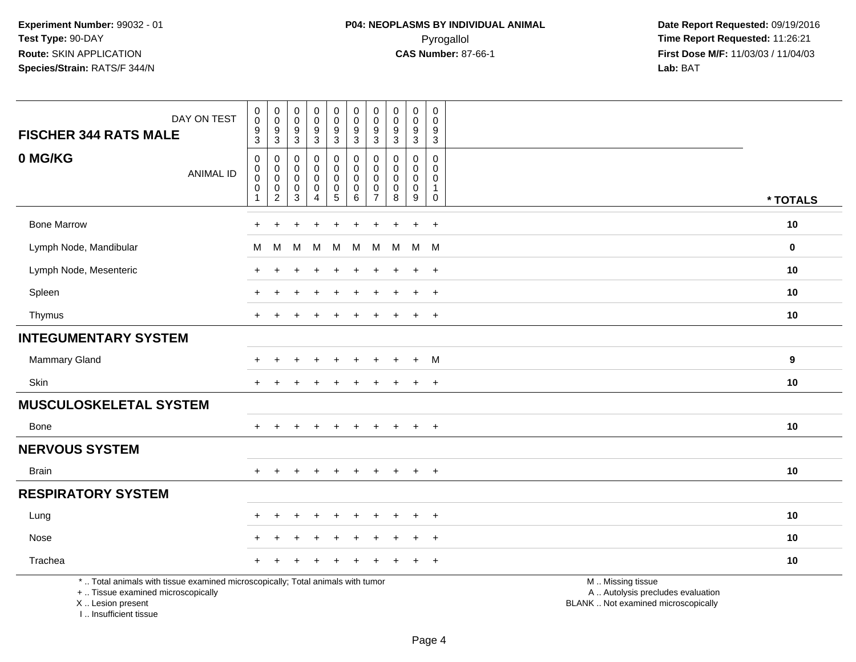|                                                                                                                                            |                                    |                                                                |                                        |                  |                                                      |                          |                         | $\mathsf{O}\xspace$   |                                                | $\pmb{0}$                       |                                                                                               |             |
|--------------------------------------------------------------------------------------------------------------------------------------------|------------------------------------|----------------------------------------------------------------|----------------------------------------|------------------|------------------------------------------------------|--------------------------|-------------------------|-----------------------|------------------------------------------------|---------------------------------|-----------------------------------------------------------------------------------------------|-------------|
| DAY ON TEST                                                                                                                                | $_{\rm 0}^{\rm 0}$                 | $\begin{smallmatrix}0\\0\end{smallmatrix}$<br>$\boldsymbol{9}$ | $_{\rm 0}^{\rm 0}$<br>$\boldsymbol{9}$ | $_0^0$           | $\pmb{0}$<br>$\mathsf{O}\xspace$                     | $_{\rm 0}^{\rm 0}$       | 0<br>$\mathbf{0}$<br>9  | $\mathbf 0$<br>9      | $\mathbf 0$<br>$\mathbf 0$<br>$\boldsymbol{9}$ | $\mathbf 0$<br>$\boldsymbol{9}$ |                                                                                               |             |
| <b>FISCHER 344 RATS MALE</b>                                                                                                               | $\frac{9}{3}$                      | $\mathsf 3$                                                    | $\mathbf{3}$                           | $\frac{9}{3}$    | $\frac{9}{3}$                                        | $\frac{9}{3}$            | 3                       | $\mathbf{3}$          | $\overline{3}$                                 | $\mathbf{3}$                    |                                                                                               |             |
| 0 MG/KG<br><b>ANIMAL ID</b>                                                                                                                | $\mathsf{O}\xspace$<br>$\mathbf 0$ | $\mathbf 0$<br>$\mathbf 0$                                     | 0<br>$\mathbf 0$                       | 0<br>$\mathbf 0$ | 0<br>0                                               | 0<br>$\overline{0}$      | $\mathbf 0$<br>$\Omega$ | $\Omega$<br>$\Omega$  | 0<br>$\mathbf 0$                               | $\mathbf 0$<br>$\Omega$         |                                                                                               |             |
|                                                                                                                                            | $\Omega$<br>$\mathbf 0$            | $\mathbf 0$<br>$\mathbf 0$                                     | 0<br>$\,0\,$                           | $\mathbf 0$<br>0 | $\mathbf 0$<br>$\begin{array}{c} 0 \\ 5 \end{array}$ | $\mathbf 0$<br>$\pmb{0}$ | $\Omega$<br>$\mathbf 0$ | 0<br>$\boldsymbol{0}$ | $\mathbf 0$<br>$\pmb{0}$                       | $\Omega$<br>-1                  |                                                                                               |             |
|                                                                                                                                            | -1                                 | $\overline{2}$                                                 | $\sqrt{3}$                             | 4                |                                                      | 6                        | $\overline{7}$          | 8                     | $\boldsymbol{9}$                               | $\mathbf 0$                     |                                                                                               | * TOTALS    |
| <b>Bone Marrow</b>                                                                                                                         | $\ddot{}$                          | $\ddot{}$                                                      |                                        | $\ddot{}$        | $\ddot{}$                                            | $\ddot{}$                | $\ddot{}$               | $\ddot{}$             | $\ddot{+}$                                     | $+$                             |                                                                                               | 10          |
| Lymph Node, Mandibular                                                                                                                     | м                                  | м                                                              | M                                      | м                | М                                                    | м                        | M                       | M                     | M                                              | <b>M</b>                        |                                                                                               | $\mathbf 0$ |
| Lymph Node, Mesenteric                                                                                                                     | ÷                                  |                                                                |                                        |                  |                                                      |                          |                         |                       | $\ddot{}$                                      | $+$                             |                                                                                               | 10          |
| Spleen                                                                                                                                     | $\pm$                              |                                                                |                                        |                  |                                                      |                          |                         |                       | $\ddot{}$                                      | $+$                             |                                                                                               | 10          |
| Thymus                                                                                                                                     | $+$                                |                                                                |                                        |                  | ÷                                                    |                          | ÷                       |                       | $\ddot{}$                                      | $+$                             |                                                                                               | 10          |
| <b>INTEGUMENTARY SYSTEM</b>                                                                                                                |                                    |                                                                |                                        |                  |                                                      |                          |                         |                       |                                                |                                 |                                                                                               |             |
| <b>Mammary Gland</b>                                                                                                                       |                                    |                                                                |                                        | $\div$           | $\ddot{}$                                            |                          |                         |                       | $\ddot{+}$                                     | M                               |                                                                                               | 9           |
| Skin                                                                                                                                       | $+$                                | $\div$                                                         |                                        |                  | ÷                                                    |                          | $\pm$                   |                       | $\ddot{}$                                      | $+$                             |                                                                                               | 10          |
| <b>MUSCULOSKELETAL SYSTEM</b>                                                                                                              |                                    |                                                                |                                        |                  |                                                      |                          |                         |                       |                                                |                                 |                                                                                               |             |
| Bone                                                                                                                                       |                                    |                                                                |                                        |                  |                                                      |                          |                         |                       | $\pm$                                          | $\overline{+}$                  |                                                                                               | 10          |
| <b>NERVOUS SYSTEM</b>                                                                                                                      |                                    |                                                                |                                        |                  |                                                      |                          |                         |                       |                                                |                                 |                                                                                               |             |
| Brain                                                                                                                                      |                                    |                                                                |                                        | $\div$           | $\pm$                                                | $+$                      | $+$                     | $+$                   | $\ddot{}$                                      | $+$                             |                                                                                               | 10          |
| <b>RESPIRATORY SYSTEM</b>                                                                                                                  |                                    |                                                                |                                        |                  |                                                      |                          |                         |                       |                                                |                                 |                                                                                               |             |
| Lung                                                                                                                                       |                                    |                                                                |                                        |                  |                                                      |                          |                         |                       |                                                | $^{+}$                          |                                                                                               | 10          |
| Nose                                                                                                                                       |                                    |                                                                |                                        | $\div$           | $\ddot{}$                                            |                          | $\pm$                   |                       | $\ddot{}$                                      | $+$                             |                                                                                               | 10          |
| Trachea                                                                                                                                    |                                    |                                                                |                                        |                  |                                                      |                          |                         |                       |                                                | $\ddot{}$                       |                                                                                               | 10          |
| *  Total animals with tissue examined microscopically; Total animals with tumor<br>+  Tissue examined microscopically<br>X  Lesion present |                                    |                                                                |                                        |                  |                                                      |                          |                         |                       |                                                |                                 | M  Missing tissue<br>A  Autolysis precludes evaluation<br>BLANK  Not examined microscopically |             |

I .. Insufficient tissue

Lesion present BLANK .. Not examined microscopically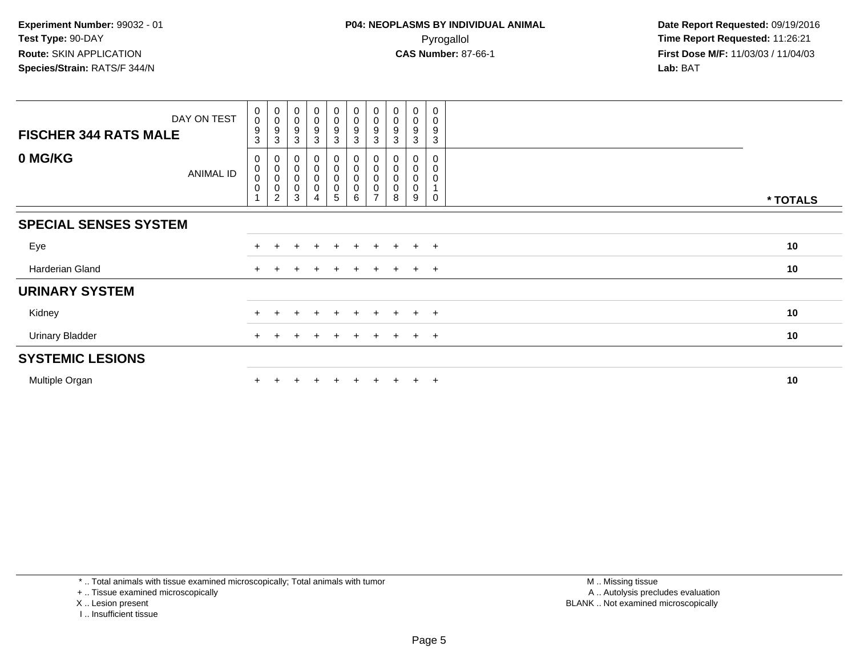| DAY ON TEST<br><b>FISCHER 344 RATS MALE</b> | $\mathbf 0$<br>$\pmb{0}$<br>9<br>3       | $_{\rm 0}^{\rm 0}$<br>$\boldsymbol{9}$<br>3                               | $\pmb{0}$<br>$\mathbf 0$<br>9<br>3        | $\mathbf 0$<br>$\mathsf{O}\xspace$<br>9<br>3 | $_{\rm 0}^{\rm 0}$<br>$\boldsymbol{9}$<br>$\mathfrak{S}$ | $\pmb{0}$<br>$\pmb{0}$<br>$\boldsymbol{9}$<br>3 | $\begin{smallmatrix} 0\\0 \end{smallmatrix}$<br>$\boldsymbol{9}$<br>$\mathbf{3}$ | $_{\rm 0}^{\rm 0}$<br>9<br>3 | 0<br>0<br>9<br>3      | $\mathbf 0$<br>0<br>9<br>3 |          |
|---------------------------------------------|------------------------------------------|---------------------------------------------------------------------------|-------------------------------------------|----------------------------------------------|----------------------------------------------------------|-------------------------------------------------|----------------------------------------------------------------------------------|------------------------------|-----------------------|----------------------------|----------|
| 0 MG/KG<br><b>ANIMAL ID</b>                 | 0<br>$\,0\,$<br>$\pmb{0}$<br>$\mathbf 0$ | $\mathbf 0$<br>$\overline{0}$<br>$\pmb{0}$<br>$\pmb{0}$<br>$\overline{c}$ | 0<br>$\mathbf 0$<br>0<br>$\mathbf 0$<br>3 | 0<br>$\bar{0}$<br>0<br>0                     | $_{\rm 0}^{\rm 0}$<br>0<br>$\pmb{0}$<br>5                | $_{\rm 0}^{\rm 0}$<br>0<br>0<br>6               | $_{\rm 0}^{\rm 0}$<br>$\pmb{0}$<br>$\pmb{0}$<br>$\overline{ }$                   | $_0^0$<br>0<br>0<br>8        | 0<br>0<br>0<br>0<br>9 | 0<br>0<br>0<br>$\Omega$    | * TOTALS |
| <b>SPECIAL SENSES SYSTEM</b>                |                                          |                                                                           |                                           |                                              |                                                          |                                                 |                                                                                  |                              |                       |                            |          |
| Eye                                         |                                          |                                                                           |                                           |                                              |                                                          |                                                 |                                                                                  |                              | $\div$                | $+$                        | 10       |
| Harderian Gland                             | $+$                                      |                                                                           |                                           |                                              | $\pm$                                                    | $\pm$                                           |                                                                                  | $+$                          | $+$                   | $+$                        | 10       |
| <b>URINARY SYSTEM</b>                       |                                          |                                                                           |                                           |                                              |                                                          |                                                 |                                                                                  |                              |                       |                            |          |
| Kidney                                      |                                          |                                                                           |                                           |                                              |                                                          |                                                 |                                                                                  |                              | $\pm$                 | $+$                        | 10       |
| <b>Urinary Bladder</b>                      |                                          |                                                                           |                                           |                                              | $\pm$                                                    | $^+$                                            | $\pm$                                                                            | $^+$                         | $+$                   | $+$                        | 10       |
| <b>SYSTEMIC LESIONS</b>                     |                                          |                                                                           |                                           |                                              |                                                          |                                                 |                                                                                  |                              |                       |                            |          |
| Multiple Organ                              |                                          |                                                                           |                                           |                                              |                                                          | $\ddot{}$                                       |                                                                                  |                              | $\pm$                 | $+$                        | 10       |

\* .. Total animals with tissue examined microscopically; Total animals with tumor

+ .. Tissue examined microscopically

X .. Lesion present

I .. Insufficient tissue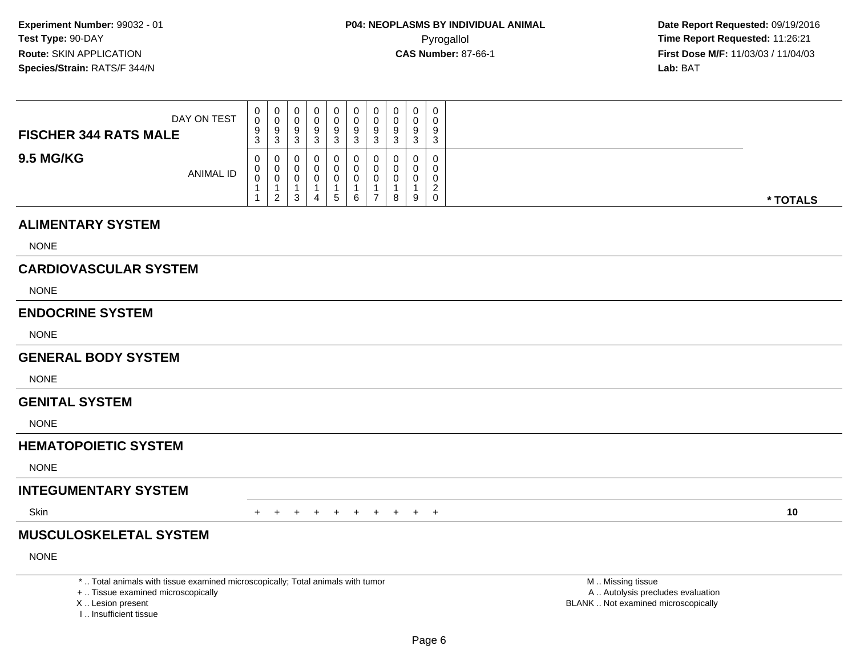**Date Report Requested:** 09/19/2016 **First Dose M/F:** 11/03/03 / 11/04/03<br>**Lab:** BAT **Lab:** BAT

| DAY ON TEST<br><b>FISCHER 344 RATS MALE</b> | $\mathbf{0}$<br>0<br>9<br>3       | 0<br>v<br>9<br>3             | 0<br>υ<br>9<br><sup>o</sup><br>ບ | $\overline{0}$<br>J | 0<br>0<br>9<br>ว | 0<br>U<br>9<br>ົ | $\mathbf{0}$<br>9<br>3 | U<br>ັບ<br>9<br>ົ<br>ັ | 0<br>0<br>9<br>3 | $\overline{0}$<br>9<br>$\sim$<br>J |          |
|---------------------------------------------|-----------------------------------|------------------------------|----------------------------------|---------------------|------------------|------------------|------------------------|------------------------|------------------|------------------------------------|----------|
| <b>9.5 MG/KG</b><br><b>ANIMAL ID</b>        | $\mathbf{0}$<br>$\mathbf{0}$<br>0 | U<br>U<br>U<br>2<br><u>_</u> | 0<br>U<br>υ<br><sup>o</sup><br>ບ | 4                   | 0<br>0<br>5      | U<br>6           | 0<br>0                 | ν<br>8                 | 0<br>0<br>9      | -<br>0                             | * TOTALS |

### **ALIMENTARY SYSTEM**

NONE

# **CARDIOVASCULAR SYSTEM**

NONE

### **ENDOCRINE SYSTEM**

NONE

### **GENERAL BODY SYSTEM**

NONE

#### **GENITAL SYSTEM**

NONE

# **HEMATOPOIETIC SYSTEM**

NONE

# **INTEGUMENTARY SYSTEM**

**Skin** n  $+$ 

<sup>+</sup> <sup>+</sup> <sup>+</sup> <sup>+</sup> <sup>+</sup> <sup>+</sup> <sup>+</sup> <sup>+</sup> <sup>+</sup> **<sup>10</sup>**

# **MUSCULOSKELETAL SYSTEM**

NONE

\* .. Total animals with tissue examined microscopically; Total animals with tumor

+ .. Tissue examined microscopically

X .. Lesion present

I .. Insufficient tissue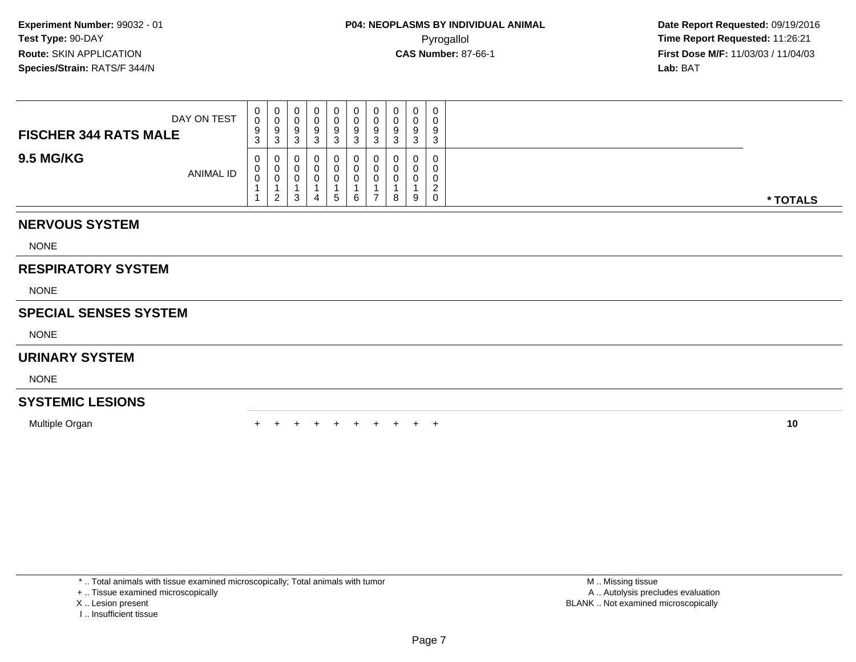| DAY ON TEST<br><b>FISCHER 344 RATS MALE</b> | 0<br>0<br>9<br>ົ<br>- ၁ | υ<br>- ರ<br>v | 0<br>J | ◡ | 0<br>Ü<br>9<br>- 0                   | 0<br>υ<br>У | 0<br>υ<br>9<br>◠<br>J | v | $\mathbf 0$<br>O | 0<br>0<br>9<br>3                           |          |
|---------------------------------------------|-------------------------|---------------|--------|---|--------------------------------------|-------------|-----------------------|---|------------------|--------------------------------------------|----------|
| <b>9.5 MG/KG</b><br>ANIMAL ID               | 0<br>0<br>0             |               | ۍ      |   | 0<br><b>U</b><br><sup>()</sup><br>b. | 6           | 0<br>υ<br>υ           | 8 | 0<br>-9          | 0<br>0<br>0<br>$\sqrt{2}$<br><u>.</u><br>0 | * TOTALS |

## **NERVOUS SYSTEM**

NONE

# **RESPIRATORY SYSTEM**

NONE

## **SPECIAL SENSES SYSTEM**

NONE

### **URINARY SYSTEM**

NONE

# **SYSTEMIC LESIONS**

Multiple Organn  $+$ 

<sup>+</sup> <sup>+</sup> <sup>+</sup> <sup>+</sup> <sup>+</sup> <sup>+</sup> <sup>+</sup> <sup>+</sup> <sup>+</sup> **<sup>10</sup>**

\* .. Total animals with tissue examined microscopically; Total animals with tumor

+ .. Tissue examined microscopically

- X .. Lesion present
- I .. Insufficient tissue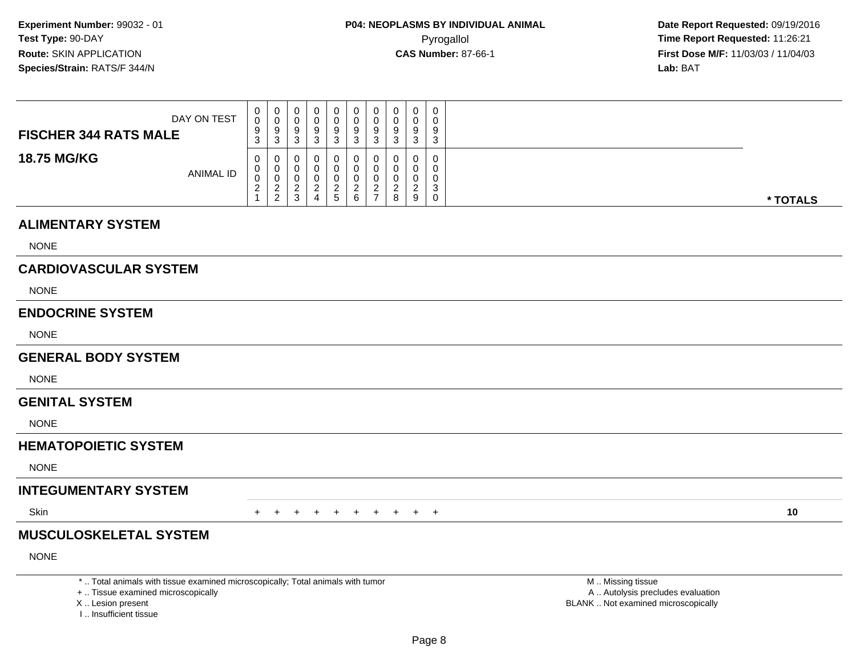**Date Report Requested:** 09/19/2016 **First Dose M/F:** 11/03/03 / 11/04/03<br>**Lab:** BAT **Lab:** BAT

| DAY ON TEST<br><b>FISCHER 344 RATS MALE</b> | U<br>0<br>9<br>◠<br>ত | 0<br>9<br>3   | 0<br>0<br>9<br>◠<br>◡ | υ<br>u |        | ν<br>u<br>9<br>N | U<br>U<br>9<br>ລ<br><b>J</b> | 0<br>Q<br>ົ<br>۰J | 0<br>0<br>9<br>3 | $\overline{0}$<br>9<br>$\sim$<br>ັ |          |
|---------------------------------------------|-----------------------|---------------|-----------------------|--------|--------|------------------|------------------------------|-------------------|------------------|------------------------------------|----------|
|                                             |                       |               |                       |        |        |                  |                              |                   |                  |                                    |          |
| <b>18.75 MG/KG</b>                          | U                     | U             | 0                     |        |        |                  |                              | 0                 | 0                |                                    |          |
|                                             |                       | U             | 0                     |        |        | U                |                              |                   | 0                |                                    |          |
| <b>ANIMAL ID</b>                            | υ                     |               |                       |        |        |                  |                              |                   |                  |                                    |          |
|                                             | U                     | U             | 0                     |        |        |                  |                              |                   | 0                |                                    |          |
|                                             | <u>_</u>              | n<br><u>_</u> | n                     |        |        | ▃                |                              |                   | ົ                | ⌒<br>ັ                             |          |
|                                             |                       | ົ             | <sup>o</sup>          |        | -<br>5 | ь                |                              | ୪                 | 9                |                                    |          |
|                                             |                       | <u>_</u>      | J                     |        |        |                  |                              |                   |                  | υ                                  | * TOTALS |

### **ALIMENTARY SYSTEM**

NONE

# **CARDIOVASCULAR SYSTEM**

NONE

### **ENDOCRINE SYSTEM**

NONE

### **GENERAL BODY SYSTEM**

NONE

#### **GENITAL SYSTEM**

NONE

### **HEMATOPOIETIC SYSTEM**

NONE

### **INTEGUMENTARY SYSTEM**

**Skin** n  $+$ 

<sup>+</sup> <sup>+</sup> <sup>+</sup> <sup>+</sup> <sup>+</sup> <sup>+</sup> <sup>+</sup> <sup>+</sup> <sup>+</sup> **<sup>10</sup>**

# **MUSCULOSKELETAL SYSTEM**

NONE

\* .. Total animals with tissue examined microscopically; Total animals with tumor

+ .. Tissue examined microscopically

X .. Lesion present

I .. Insufficient tissue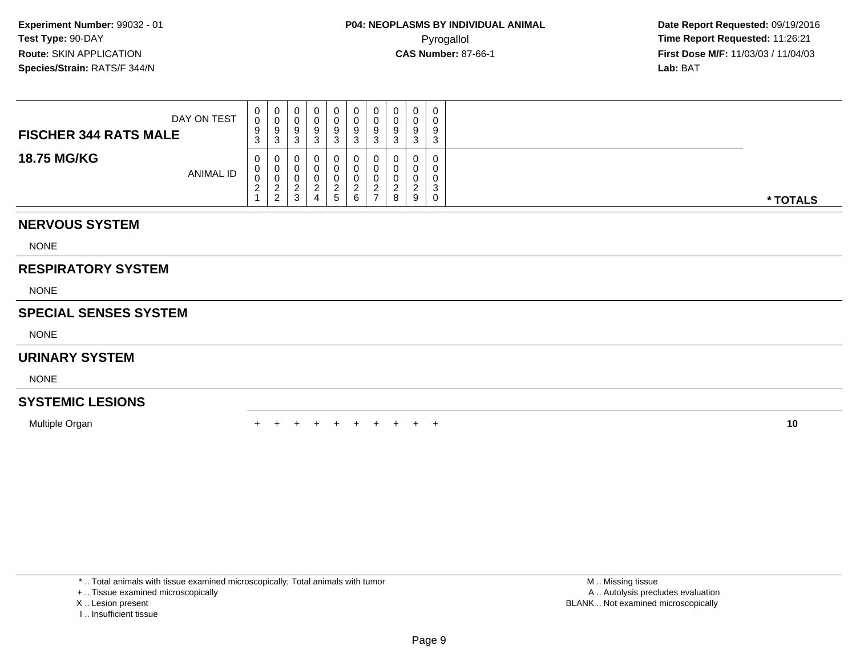| <b>FISCHER 344 RATS MALE</b> | DAY ON TEST | $\mathbf{0}$<br>0<br>9<br>3               | 0<br>U<br>9<br>-3                                  | ч | 0<br>U<br>9 | 0<br>U<br>9<br>-c  | 0<br>U<br>9 | 0<br>υ<br>9<br>◠<br>J | $\mathbf 0$ | 0<br>0<br>9<br>◠<br>د      |          |
|------------------------------|-------------|-------------------------------------------|----------------------------------------------------|---|-------------|--------------------|-------------|-----------------------|-------------|----------------------------|----------|
| <b>18.75 MG/KG</b>           | ANIMAL ID   | 0<br>U<br>0<br><sup>o</sup><br>$\epsilon$ | 0<br>U<br>U<br>◠<br><u>_</u><br>$\mathcal{D}$<br>∼ | J | U<br>G      | 0<br><u>_</u><br>6 | -           | 0<br>8                | 9           | 0<br>0<br>0<br>⌒<br>د<br>0 | * TOTALS |

# **NERVOUS SYSTEM**

NONE

## **RESPIRATORY SYSTEM**

NONE

## **SPECIAL SENSES SYSTEM**

NONE

### **URINARY SYSTEM**

NONE

# **SYSTEMIC LESIONS**

Multiple Organn  $+$ 

<sup>+</sup> <sup>+</sup> <sup>+</sup> <sup>+</sup> <sup>+</sup> <sup>+</sup> <sup>+</sup> <sup>+</sup> <sup>+</sup> **<sup>10</sup>**

\* .. Total animals with tissue examined microscopically; Total animals with tumor

+ .. Tissue examined microscopically

- X .. Lesion present
- I .. Insufficient tissue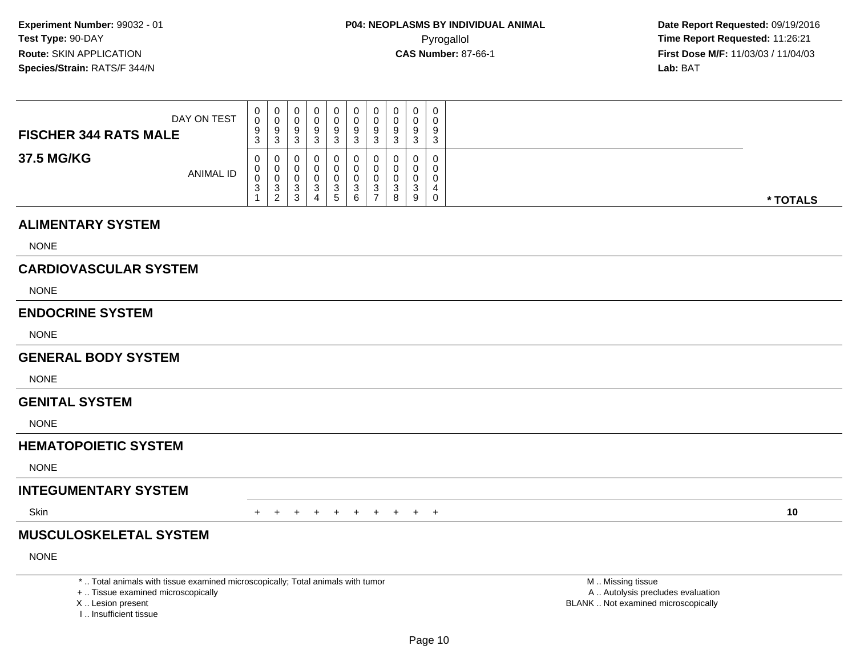**Date Report Requested:** 09/19/2016 **First Dose M/F:** 11/03/03 / 11/04/03<br>**Lab:** BAT **Lab:** BAT

| DAY ON TEST<br><b>FISCHER 344 RATS MALE</b> | U<br>0<br>9      | 0<br>9                  | 0<br>0<br>9                      | υ |   | ν<br>u<br>9 | U<br>9        | 0<br>Q       | 0<br>0<br>9 | $\overline{0}$<br>9           |          |
|---------------------------------------------|------------------|-------------------------|----------------------------------|---|---|-------------|---------------|--------------|-------------|-------------------------------|----------|
| 37.5 MG/KG                                  | ◠<br>ত<br>U<br>v | 3<br>U<br>U             | ◠<br>◡<br>0<br>0                 | u |   | N<br>U      | ລ<br><b>J</b> | ົ<br>۰J<br>0 | 3<br>0<br>0 | $\sim$<br>ັ                   |          |
| ANIMAL ID                                   | v<br>ು           | U<br>ు<br>ົ<br><u>_</u> | 0<br>◠<br>◡<br><sup>o</sup><br>J |   | 5 | J<br>6      | J             | ◠<br>ٮ<br>୪  | 0<br>3<br>9 | $\overline{\phantom{a}}$<br>υ | * TOTALS |

### **ALIMENTARY SYSTEM**

NONE

# **CARDIOVASCULAR SYSTEM**

NONE

### **ENDOCRINE SYSTEM**

NONE

### **GENERAL BODY SYSTEM**

NONE

#### **GENITAL SYSTEM**

NONE

# **HEMATOPOIETIC SYSTEM**

NONE

# **INTEGUMENTARY SYSTEM**

**Skin** n  $+$ 

<sup>+</sup> <sup>+</sup> <sup>+</sup> <sup>+</sup> <sup>+</sup> <sup>+</sup> <sup>+</sup> <sup>+</sup> <sup>+</sup> **<sup>10</sup>**

# **MUSCULOSKELETAL SYSTEM**

NONE

\* .. Total animals with tissue examined microscopically; Total animals with tumor

+ .. Tissue examined microscopically

X .. Lesion present

I .. Insufficient tissue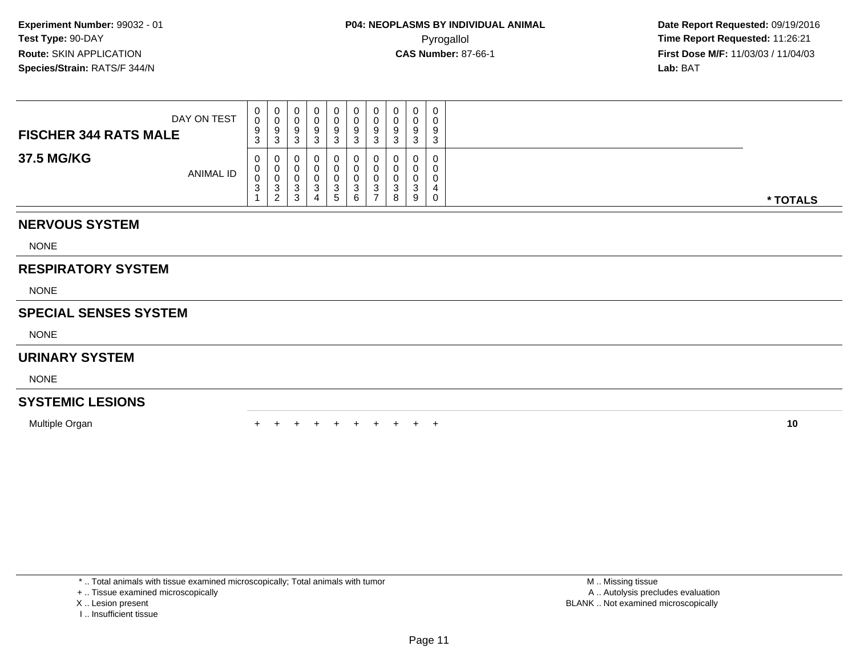| DAY ON TEST<br><b>FISCHER 344 RATS MALE</b> | $\mathbf{0}$<br>$\mathbf 0$<br>9<br>$\sim$<br>ر.   | 0<br>U<br>9<br>-3      | J | ు | 0<br>U<br>9<br>3            | 0<br>U<br>9<br>◠<br>- ఎ  | 0<br>U<br>9<br>-3 | 0<br>υ<br>Q<br>ູ<br>⌒<br>ັ | $\Omega$<br>ن. | 0<br>0<br>9<br>3            |          |
|---------------------------------------------|----------------------------------------------------|------------------------|---|---|-----------------------------|--------------------------|-------------------|----------------------------|----------------|-----------------------------|----------|
| 37.5 MG/KG<br><b>ANIMAL ID</b>              | $\mathbf{0}$<br>$\mathbf{0}$<br>0<br>$\sim$<br>- ၁ | 0<br>U<br>U<br>-3<br>ຳ |   |   | 0<br>U<br>J<br>$\mathbf{p}$ | 0<br>0<br>0<br>- 12<br>6 | 0<br>3<br>-       | 0<br>υ<br>υ<br>⌒<br>J<br>8 | Q              | $\mathbf{0}$<br>0<br>0<br>0 | * TOTALS |

# **NERVOUS SYSTEM**

NONE

# **RESPIRATORY SYSTEM**

NONE

## **SPECIAL SENSES SYSTEM**

NONE

### **URINARY SYSTEM**

NONE

# **SYSTEMIC LESIONS**

Multiple Organn  $+$ 

<sup>+</sup> <sup>+</sup> <sup>+</sup> <sup>+</sup> <sup>+</sup> <sup>+</sup> <sup>+</sup> <sup>+</sup> <sup>+</sup> **<sup>10</sup>**

\* .. Total animals with tissue examined microscopically; Total animals with tumor

+ .. Tissue examined microscopically

X .. Lesion present

I .. Insufficient tissue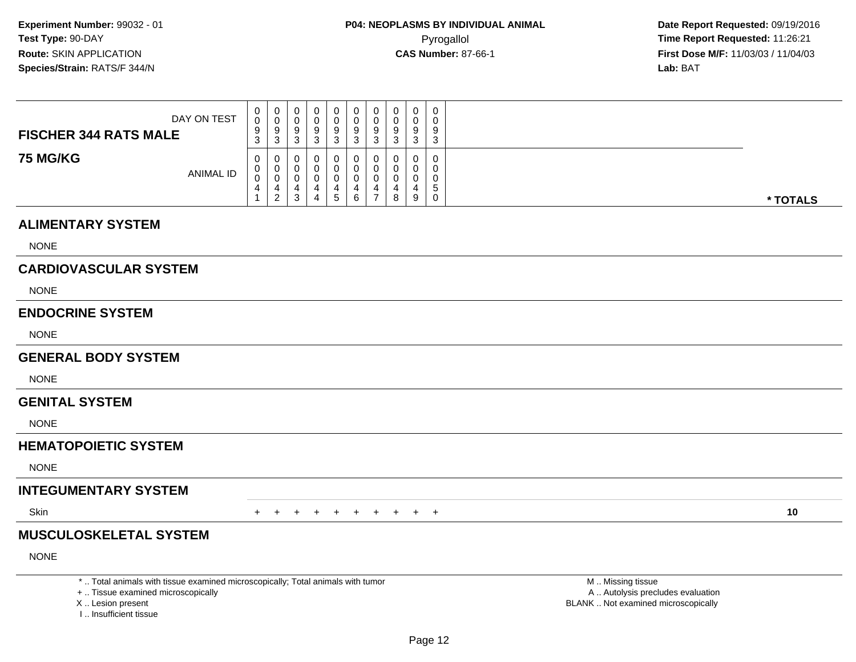### **ALIMENTARY SYSTEM**

NONE

# **CARDIOVASCULAR SYSTEM**

NONE

### **ENDOCRINE SYSTEM**

NONE

### **GENERAL BODY SYSTEM**

NONE

#### **GENITAL SYSTEM**

NONE

# **HEMATOPOIETIC SYSTEM**

NONE

# **INTEGUMENTARY SYSTEM**

**Skin** n  $+$ 

<sup>+</sup> <sup>+</sup> <sup>+</sup> <sup>+</sup> <sup>+</sup> <sup>+</sup> <sup>+</sup> <sup>+</sup> <sup>+</sup> **<sup>10</sup>**

# **MUSCULOSKELETAL SYSTEM**

NONE

\* .. Total animals with tissue examined microscopically; Total animals with tumor

+ .. Tissue examined microscopically

X .. Lesion present

I .. Insufficient tissue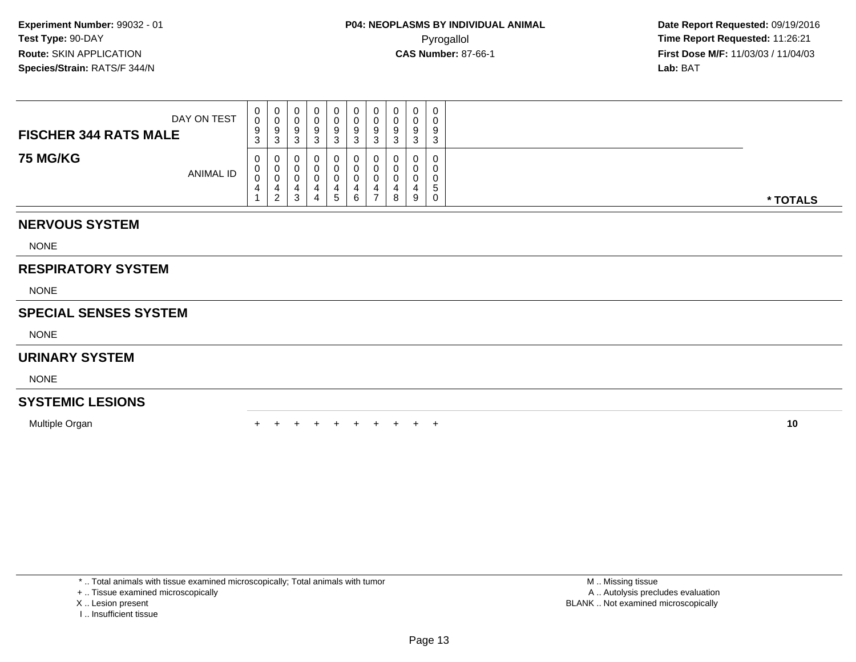| DAY ON TEST<br><b>FISCHER 344 RATS MALE</b> | $\mathbf{0}$<br>$\mathbf{0}$<br>9<br>$\sim$<br>J. | 0<br>U<br>9<br>3 | 9 | 0<br>9<br>J       | 0<br>U<br>9<br>-c | 0<br>U<br>9<br>3 | 0<br>υ<br>9<br>⌒<br>J | $\Omega$<br>u | 0<br>0<br>9<br>◠<br>د. |          |
|---------------------------------------------|---------------------------------------------------|------------------|---|-------------------|-------------------|------------------|-----------------------|---------------|------------------------|----------|
| <b>75 MG/KG</b><br><b>ANIMAL ID</b>         | $\mathbf{0}$<br>U<br>0<br>4                       | 0<br>U<br>U<br>2 |   | O<br>$\mathbf{c}$ | 0<br>6            | U                | 0<br>8                | $\Omega$<br>9 | 0<br>0<br>0<br>IJ<br>0 | * TOTALS |

## **NERVOUS SYSTEM**

NONE

# **RESPIRATORY SYSTEM**

NONE

# **SPECIAL SENSES SYSTEM**

NONE

### **URINARY SYSTEM**

NONE

# **SYSTEMIC LESIONS**

Multiple Organn  $+$ 

<sup>+</sup> <sup>+</sup> <sup>+</sup> <sup>+</sup> <sup>+</sup> <sup>+</sup> <sup>+</sup> <sup>+</sup> <sup>+</sup> **<sup>10</sup>**

\* .. Total animals with tissue examined microscopically; Total animals with tumor

+ .. Tissue examined microscopically

X .. Lesion present

I .. Insufficient tissue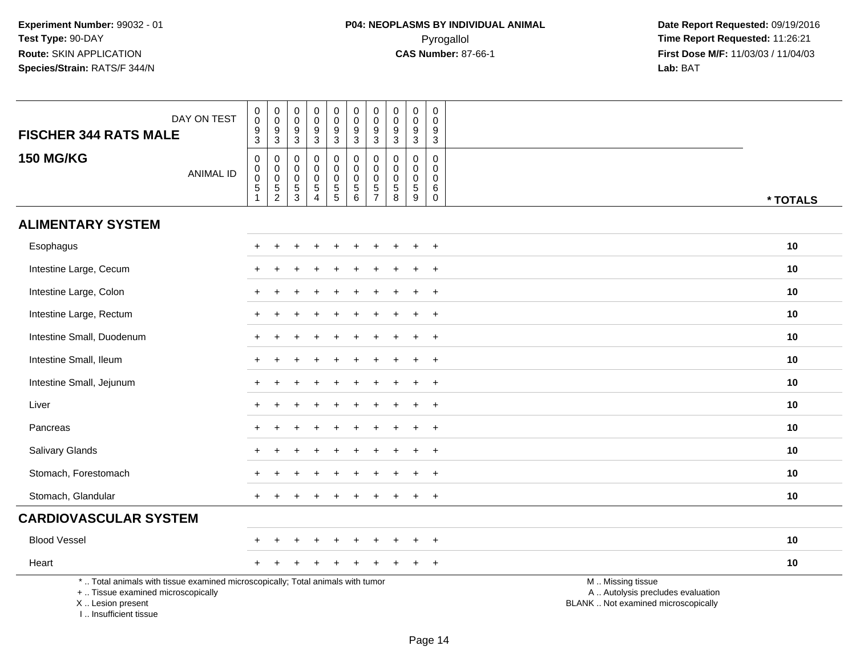| DAY ON TEST<br><b>FISCHER 344 RATS MALE</b>                                                                                                                          | $\pmb{0}$<br>$\mathsf{O}\xspace$<br>$\frac{9}{3}$              | $\pmb{0}$<br>$\pmb{0}$<br>$\frac{9}{3}$               | $\pmb{0}$<br>$\mathbf 0$<br>$\boldsymbol{9}$<br>$\mathbf{3}$ | $\pmb{0}$<br>$\mathbf 0$<br>$\boldsymbol{9}$<br>3                | $\mathsf{O}\xspace$<br>$\ddot{\mathbf{0}}$<br>$9\,$<br>3 | $\pmb{0}$<br>$\ddot{\mathbf{0}}$<br>$\boldsymbol{9}$<br>$\mathbf{3}$ | $\pmb{0}$<br>$\mathbf 0$<br>$\boldsymbol{9}$<br>$\mathbf{3}$ | $\mathbf 0$<br>$\mathbf 0$<br>$9\,$<br>3           | $\pmb{0}$<br>$\mathbf 0$<br>$\boldsymbol{9}$<br>3                | $\mathbf 0$<br>$\mathbf 0$<br>9<br>3 |                                                                                               |
|----------------------------------------------------------------------------------------------------------------------------------------------------------------------|----------------------------------------------------------------|-------------------------------------------------------|--------------------------------------------------------------|------------------------------------------------------------------|----------------------------------------------------------|----------------------------------------------------------------------|--------------------------------------------------------------|----------------------------------------------------|------------------------------------------------------------------|--------------------------------------|-----------------------------------------------------------------------------------------------|
| <b>150 MG/KG</b><br><b>ANIMAL ID</b>                                                                                                                                 | 0<br>$\mathbf 0$<br>$\mathbf 0$<br>$\,$ 5 $\,$<br>$\mathbf{1}$ | $\mathbf 0$<br>$\begin{matrix}0\\0\\5\\2\end{matrix}$ | $\mathbf 0$<br>$\mathbf 0$<br>$\mathbf 0$<br>$\frac{5}{3}$   | $\mathbf 0$<br>0<br>$\mathbf 0$<br>$\mathbf 5$<br>$\overline{4}$ | 0<br>$\mathbf 0$<br>$\mathsf{O}\xspace$<br>$\frac{5}{5}$ | 0<br>$\mathbf 0$<br>$\pmb{0}$<br>$\frac{5}{6}$                       | $\mathbf 0$<br>$\pmb{0}$<br>$\mathbf 0$<br>$\frac{5}{7}$     | $\mathbf 0$<br>0<br>$\mathbf 0$<br>$\sqrt{5}$<br>8 | $\mathbf 0$<br>$\mathbf 0$<br>$\mathsf 0$<br>$\overline{5}$<br>9 | 0<br>0<br>$\mathbf 0$<br>$\,6$<br>0  | * TOTALS                                                                                      |
| <b>ALIMENTARY SYSTEM</b>                                                                                                                                             |                                                                |                                                       |                                                              |                                                                  |                                                          |                                                                      |                                                              |                                                    |                                                                  |                                      |                                                                                               |
| Esophagus                                                                                                                                                            |                                                                |                                                       |                                                              |                                                                  |                                                          |                                                                      |                                                              |                                                    |                                                                  |                                      | 10                                                                                            |
| Intestine Large, Cecum                                                                                                                                               |                                                                |                                                       |                                                              |                                                                  |                                                          |                                                                      |                                                              |                                                    |                                                                  | $\overline{1}$                       | 10                                                                                            |
| Intestine Large, Colon                                                                                                                                               |                                                                |                                                       |                                                              |                                                                  |                                                          |                                                                      |                                                              |                                                    |                                                                  | $\overline{1}$                       | 10                                                                                            |
| Intestine Large, Rectum                                                                                                                                              |                                                                |                                                       |                                                              |                                                                  |                                                          |                                                                      |                                                              |                                                    |                                                                  | $\ddot{}$                            | 10                                                                                            |
| Intestine Small, Duodenum                                                                                                                                            |                                                                |                                                       |                                                              |                                                                  |                                                          |                                                                      |                                                              |                                                    |                                                                  | $\div$                               | 10                                                                                            |
| Intestine Small, Ileum                                                                                                                                               |                                                                |                                                       |                                                              |                                                                  |                                                          |                                                                      |                                                              |                                                    |                                                                  | $\overline{1}$                       | 10                                                                                            |
| Intestine Small, Jejunum                                                                                                                                             |                                                                |                                                       |                                                              |                                                                  |                                                          |                                                                      |                                                              |                                                    | $\div$                                                           | $+$                                  | 10                                                                                            |
| Liver                                                                                                                                                                |                                                                |                                                       |                                                              |                                                                  |                                                          |                                                                      |                                                              |                                                    |                                                                  | $\overline{1}$                       | 10                                                                                            |
| Pancreas                                                                                                                                                             |                                                                |                                                       |                                                              |                                                                  |                                                          |                                                                      |                                                              |                                                    |                                                                  | $\overline{1}$                       | 10                                                                                            |
| <b>Salivary Glands</b>                                                                                                                                               |                                                                |                                                       |                                                              |                                                                  |                                                          |                                                                      |                                                              |                                                    |                                                                  | $\ddot{}$                            | 10                                                                                            |
| Stomach, Forestomach                                                                                                                                                 |                                                                |                                                       |                                                              |                                                                  |                                                          |                                                                      |                                                              |                                                    |                                                                  | $\overline{ }$                       | 10                                                                                            |
| Stomach, Glandular                                                                                                                                                   |                                                                |                                                       |                                                              |                                                                  |                                                          |                                                                      |                                                              |                                                    |                                                                  | $\ddot{}$                            | 10                                                                                            |
| <b>CARDIOVASCULAR SYSTEM</b>                                                                                                                                         |                                                                |                                                       |                                                              |                                                                  |                                                          |                                                                      |                                                              |                                                    |                                                                  |                                      |                                                                                               |
| <b>Blood Vessel</b>                                                                                                                                                  |                                                                |                                                       |                                                              |                                                                  |                                                          |                                                                      |                                                              |                                                    |                                                                  | $^{+}$                               | 10                                                                                            |
| Heart                                                                                                                                                                |                                                                |                                                       |                                                              |                                                                  |                                                          |                                                                      |                                                              |                                                    |                                                                  | $+$                                  | 10                                                                                            |
| *  Total animals with tissue examined microscopically; Total animals with tumor<br>+  Tissue examined microscopically<br>X  Lesion present<br>I  Insufficient tissue |                                                                |                                                       |                                                              |                                                                  |                                                          |                                                                      |                                                              |                                                    |                                                                  |                                      | M  Missing tissue<br>A  Autolysis precludes evaluation<br>BLANK  Not examined microscopically |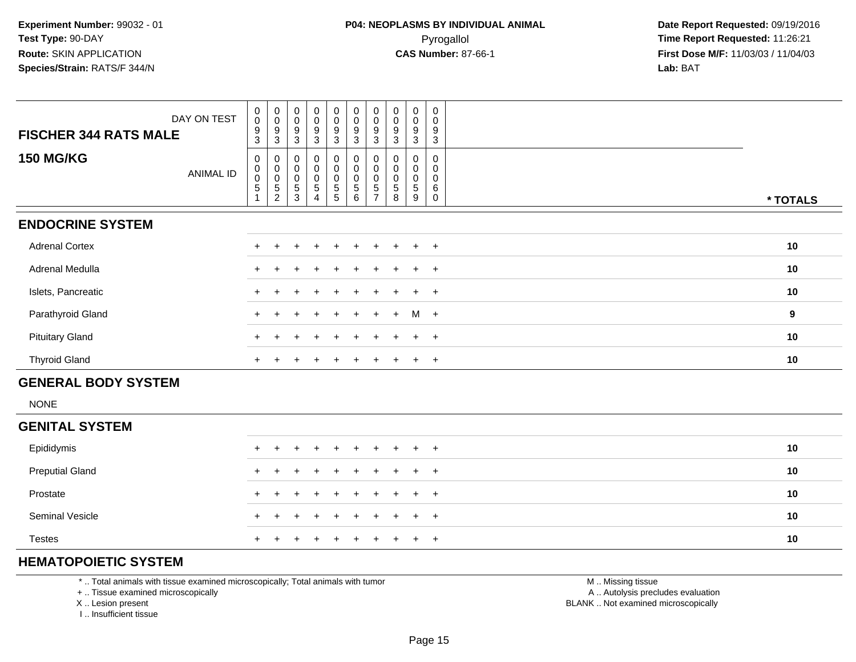| DAY ON TEST<br><b>FISCHER 344 RATS MALE</b>  | $_{\rm 0}^{\rm 0}$<br>$\boldsymbol{9}$<br>3 | $\begin{array}{c} 0 \\ 0 \\ 9 \\ 3 \end{array}$                               | $_{\rm 0}^{\rm 0}$<br>$\boldsymbol{9}$<br>3 | 0<br>0<br>9<br>3                | $\begin{smallmatrix}0\\0\end{smallmatrix}$<br>$\boldsymbol{9}$<br>3 | $\begin{smallmatrix} 0\\0 \end{smallmatrix}$<br>$\mathsf g$<br>3              | 0<br>0<br>9<br>3 | $_{\rm 0}^{\rm 0}$<br>$\boldsymbol{9}$<br>3 | 0<br>0<br>9<br>3      | $\mathbf 0$<br>$\mathbf 0$<br>9<br>3 |          |
|----------------------------------------------|---------------------------------------------|-------------------------------------------------------------------------------|---------------------------------------------|---------------------------------|---------------------------------------------------------------------|-------------------------------------------------------------------------------|------------------|---------------------------------------------|-----------------------|--------------------------------------|----------|
| <b>150 MG/KG</b><br>ANIMAL ID                | 0<br>0<br>$\mathbf 0$<br>$\overline{5}$     | $\begin{smallmatrix}0\\0\\0\end{smallmatrix}$<br>$\sqrt{5}$<br>$\overline{c}$ | $_{\rm 0}^{\rm 0}$<br>$\mathbf 0$<br>5<br>3 | 0<br>$\mathbf 0$<br>0<br>5<br>4 | $\begin{smallmatrix}0\\0\end{smallmatrix}$<br>0<br>$\sqrt{5}$<br>5  | $\begin{smallmatrix}0\0\0\end{smallmatrix}$<br>$\mathbf 0$<br>$\sqrt{5}$<br>6 | 5<br>-           | 0<br>$\pmb{0}$<br>$\pmb{0}$<br>5<br>8       | 0<br>0<br>0<br>5<br>9 | 0<br>0<br>0<br>6<br>$\Omega$         | * TOTALS |
| <b>ENDOCRINE SYSTEM</b>                      |                                             |                                                                               |                                             |                                 |                                                                     |                                                                               |                  |                                             |                       |                                      |          |
| <b>Adrenal Cortex</b>                        |                                             |                                                                               |                                             | $\ddot{}$                       | $+$                                                                 | $\ddot{}$                                                                     | $+$              | $\ddot{}$                                   | $\ddot{}$             | $+$                                  | 10       |
| <b>Adrenal Medulla</b>                       |                                             |                                                                               |                                             | $\div$                          |                                                                     |                                                                               | $+$              |                                             | $\pm$                 | $+$                                  | 10       |
| Islets, Pancreatic                           |                                             |                                                                               |                                             |                                 |                                                                     |                                                                               |                  |                                             | ÷                     | $+$                                  | 10       |
| Parathyroid Gland                            | $\div$                                      |                                                                               |                                             | $+$                             | $+$                                                                 | $+$                                                                           | $+$              | $+$                                         | M +                   |                                      | 9        |
| <b>Pituitary Gland</b>                       | $\pm$                                       |                                                                               | $\div$                                      | $\pm$                           | $\pm$                                                               | $\pm$                                                                         | $+$              |                                             | $+$                   | $+$                                  | 10       |
| <b>Thyroid Gland</b>                         | $+$                                         |                                                                               | ÷                                           | $\pm$                           | $\pm$                                                               | $\pm$                                                                         | $+$              |                                             | $+$                   | $+$                                  | 10       |
| $\cdots$ $\cdots$ $\cdots$ $\cdots$ $\cdots$ |                                             |                                                                               |                                             |                                 |                                                                     |                                                                               |                  |                                             |                       |                                      |          |

#### **GENERAL BODY SYSTEM**

NONE

| <b>GENITAL SYSTEM</b>  |  |                     |  |  |  |    |
|------------------------|--|---------------------|--|--|--|----|
| Epididymis             |  | + + + + + + + + + + |  |  |  | 10 |
| <b>Preputial Gland</b> |  | + + + + + + + + + + |  |  |  | 10 |
| Prostate               |  | + + + + + + + + + + |  |  |  | 10 |
| <b>Seminal Vesicle</b> |  | + + + + + + + + + + |  |  |  | 10 |
| <b>Testes</b>          |  | + + + + + + + + + + |  |  |  | 10 |

# **HEMATOPOIETIC SYSTEM**

\* .. Total animals with tissue examined microscopically; Total animals with tumor

+ .. Tissue examined microscopically

X .. Lesion present

I .. Insufficient tissue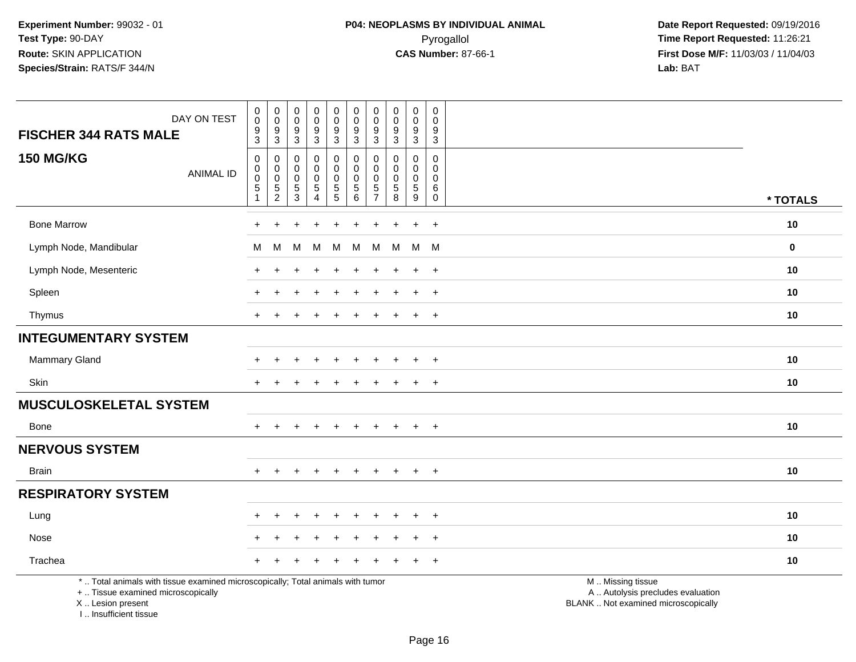| DAY ON TEST<br><b>FISCHER 344 RATS MALE</b>                                                                                               | $\pmb{0}$<br>$\mathbf 0$<br>$\frac{9}{3}$                      | $\,0\,$<br>$\mathbf 0$<br>9<br>$\overline{3}$                              | $\pmb{0}$<br>$\mathbf 0$<br>$\frac{9}{3}$  | $_0^0$<br>$\frac{9}{3}$                   | $\boldsymbol{0}$<br>$\mathbf 0$<br>$\frac{9}{3}$ | $\pmb{0}$<br>$\mathbf 0$<br>$\frac{9}{3}$     | 0<br>$\Omega$<br>9<br>3                                              | $\mathsf{O}\xspace$<br>$\mathbf 0$<br>9<br>$\overline{3}$ | $\mathbf 0$<br>$\mathbf 0$<br>$\frac{9}{3}$                       | $\mathbf 0$<br>0<br>9<br>$\overline{3}$               |                                                                                              |
|-------------------------------------------------------------------------------------------------------------------------------------------|----------------------------------------------------------------|----------------------------------------------------------------------------|--------------------------------------------|-------------------------------------------|--------------------------------------------------|-----------------------------------------------|----------------------------------------------------------------------|-----------------------------------------------------------|-------------------------------------------------------------------|-------------------------------------------------------|----------------------------------------------------------------------------------------------|
| <b>150 MG/KG</b><br><b>ANIMAL ID</b>                                                                                                      | $\mathsf{O}$<br>$\mathbf 0$<br>$\mathbf 0$<br>$\sqrt{5}$<br>-1 | $\mathbf 0$<br>$\mathbf 0$<br>$\mathbf 0$<br>$\mathbf 5$<br>$\overline{c}$ | 0<br>0<br>0<br>$\,$ 5 $\,$<br>$\mathbf{3}$ | 0<br>$\Omega$<br>0<br>5<br>$\overline{4}$ | 0<br>0<br>0<br>$\frac{5}{5}$                     | 0<br>$\Omega$<br>$\mathbf 0$<br>$\frac{5}{6}$ | $\mathbf 0$<br>$\Omega$<br>$\Omega$<br>$\,$ 5 $\,$<br>$\overline{7}$ | $\mathbf 0$<br>$\Omega$<br>$\Omega$<br>$\sqrt{5}$<br>8    | 0<br>$\mathbf 0$<br>$\mathbf 0$<br>$\sqrt{5}$<br>$\boldsymbol{9}$ | $\mathbf 0$<br>0<br>0<br>$\,6$<br>$\mathsf{O}\xspace$ | * TOTALS                                                                                     |
|                                                                                                                                           |                                                                |                                                                            |                                            |                                           |                                                  |                                               |                                                                      |                                                           |                                                                   |                                                       |                                                                                              |
| <b>Bone Marrow</b>                                                                                                                        | $\ddot{}$                                                      | $\ddot{}$                                                                  |                                            | $\ddot{}$                                 | $\ddot{}$                                        | $\ddot{}$                                     | $\ddot{}$                                                            | $\ddot{}$                                                 | $\ddot{}$                                                         | $+$                                                   | 10                                                                                           |
| Lymph Node, Mandibular                                                                                                                    | м                                                              | M                                                                          | M                                          | M                                         | M                                                | М                                             | M                                                                    | M                                                         | M                                                                 | - M                                                   | $\mathbf 0$                                                                                  |
| Lymph Node, Mesenteric                                                                                                                    |                                                                |                                                                            |                                            |                                           |                                                  |                                               |                                                                      |                                                           | $\ddot{}$                                                         | $+$                                                   | 10                                                                                           |
| Spleen                                                                                                                                    |                                                                |                                                                            |                                            | $\div$                                    | $\ddot{}$                                        |                                               | $\pm$                                                                |                                                           | $\ddot{}$                                                         | $+$                                                   | 10                                                                                           |
| Thymus                                                                                                                                    |                                                                |                                                                            |                                            |                                           |                                                  |                                               |                                                                      |                                                           | $\ddot{}$                                                         | $+$                                                   | 10                                                                                           |
| <b>INTEGUMENTARY SYSTEM</b>                                                                                                               |                                                                |                                                                            |                                            |                                           |                                                  |                                               |                                                                      |                                                           |                                                                   |                                                       |                                                                                              |
| Mammary Gland                                                                                                                             |                                                                |                                                                            |                                            | $\ddot{}$                                 | $\ddot{}$                                        | $\ddot{}$                                     | $\pm$                                                                |                                                           | $\ddot{}$                                                         | $+$                                                   | 10                                                                                           |
| Skin                                                                                                                                      |                                                                |                                                                            |                                            |                                           |                                                  |                                               |                                                                      |                                                           | $\ddot{}$                                                         | $+$                                                   | 10                                                                                           |
| <b>MUSCULOSKELETAL SYSTEM</b>                                                                                                             |                                                                |                                                                            |                                            |                                           |                                                  |                                               |                                                                      |                                                           |                                                                   |                                                       |                                                                                              |
| Bone                                                                                                                                      | $+$                                                            | $+$                                                                        | $+$                                        | $+$                                       | $+$                                              | $+$                                           |                                                                      | $+$ $+$                                                   | $+$                                                               | $+$                                                   | 10                                                                                           |
| <b>NERVOUS SYSTEM</b>                                                                                                                     |                                                                |                                                                            |                                            |                                           |                                                  |                                               |                                                                      |                                                           |                                                                   |                                                       |                                                                                              |
| <b>Brain</b>                                                                                                                              |                                                                |                                                                            |                                            |                                           |                                                  |                                               |                                                                      |                                                           | $\ddot{}$                                                         | $+$                                                   | 10                                                                                           |
| <b>RESPIRATORY SYSTEM</b>                                                                                                                 |                                                                |                                                                            |                                            |                                           |                                                  |                                               |                                                                      |                                                           |                                                                   |                                                       |                                                                                              |
| Lung                                                                                                                                      |                                                                |                                                                            |                                            |                                           |                                                  |                                               |                                                                      |                                                           |                                                                   | $+$                                                   | 10                                                                                           |
| Nose                                                                                                                                      |                                                                |                                                                            |                                            |                                           |                                                  |                                               |                                                                      |                                                           |                                                                   | $\overline{+}$                                        | 10                                                                                           |
| Trachea                                                                                                                                   |                                                                |                                                                            |                                            |                                           |                                                  |                                               |                                                                      |                                                           |                                                                   | $\overline{+}$                                        | 10                                                                                           |
| *  Total animals with tissue examined microscopically; Total animals with tumor<br>+  Tissue examined microscopically<br>X Lesion present |                                                                |                                                                            |                                            |                                           |                                                  |                                               |                                                                      |                                                           |                                                                   |                                                       | M  Missing tissue<br>A  Autolysis precludes evaluation<br>BLANK Not examined microscopically |

Page 16

I .. Insufficient tissue

ot examined microscopically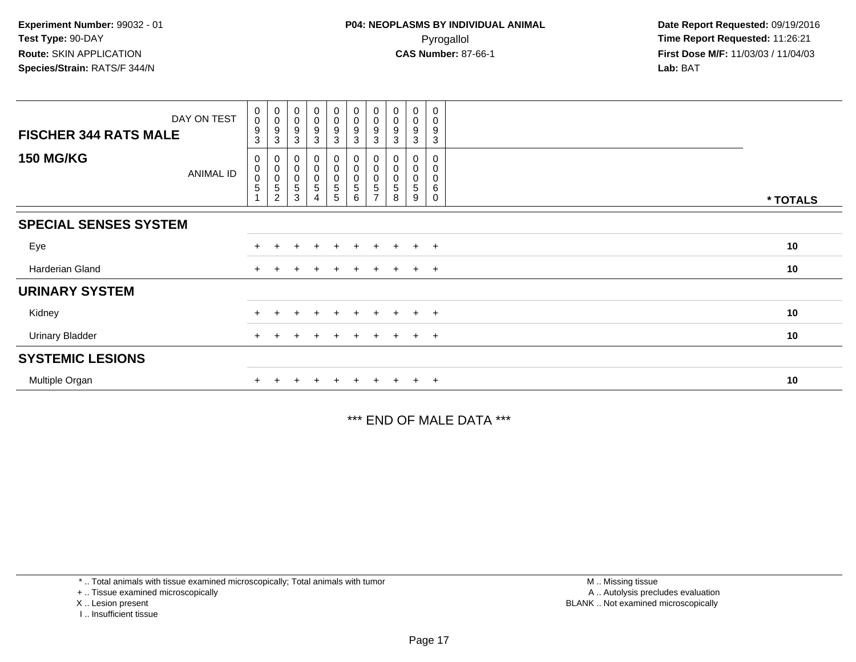| DAY ON TEST                   | $\begin{smallmatrix} 0\\0 \end{smallmatrix}$ | $_{\rm 0}^{\rm 0}$                 | $\begin{smallmatrix} 0\\0 \end{smallmatrix}$ | $\begin{smallmatrix} 0\\0 \end{smallmatrix}$ | $\pmb{0}$<br>$\mathbf 0$         | $\begin{smallmatrix} 0\\0 \end{smallmatrix}$ | $\pmb{0}$<br>$\pmb{0}$ | $\begin{smallmatrix} 0\\0 \end{smallmatrix}$ | $\pmb{0}$<br>$\pmb{0}$ | 0<br>0           |          |
|-------------------------------|----------------------------------------------|------------------------------------|----------------------------------------------|----------------------------------------------|----------------------------------|----------------------------------------------|------------------------|----------------------------------------------|------------------------|------------------|----------|
| <b>FISCHER 344 RATS MALE</b>  | 9<br>3                                       | 9<br>3                             | 9<br>3                                       | $\boldsymbol{9}$<br>3                        | $\boldsymbol{9}$<br>$\mathbf{3}$ | $\boldsymbol{9}$<br>3                        | 9<br>3                 | 9<br>3                                       | 9<br>3                 | 9<br>3           |          |
| <b>150 MG/KG</b><br>ANIMAL ID | 0<br>$\,0\,$<br>$\pmb{0}$<br>$\overline{5}$  | 0<br>0<br>0<br>5<br>$\overline{c}$ | 0<br>$\boldsymbol{0}$<br>$\pmb{0}$<br>5<br>3 | 0<br>$\boldsymbol{0}$<br>$\pmb{0}$<br>5<br>4 | 0<br>0<br>$\mathbf 0$<br>5<br>5  | $\pmb{0}$<br>$\mathbf 0$<br>$\,$ 5 $\,$<br>6 | 0<br>5                 | 0<br>0<br>5<br>8                             | 0<br>0<br>0<br>5<br>9  | 0<br>0<br>6<br>0 | * TOTALS |
| <b>SPECIAL SENSES SYSTEM</b>  |                                              |                                    |                                              |                                              |                                  |                                              |                        |                                              |                        |                  |          |
| Eye                           |                                              |                                    | +                                            | $\overline{ }$                               | $+$                              | $\pm$                                        | +                      |                                              | $\ddot{}$              | $+$              | 10       |
| Harderian Gland               | $+$                                          |                                    |                                              |                                              | $\pm$                            | $\pm$                                        | ÷.                     |                                              | $+$                    | $+$              | 10       |
| <b>URINARY SYSTEM</b>         |                                              |                                    |                                              |                                              |                                  |                                              |                        |                                              |                        |                  |          |
| Kidney                        |                                              |                                    |                                              |                                              |                                  |                                              |                        |                                              | $+$                    | $^{+}$           | 10       |
| <b>Urinary Bladder</b>        |                                              |                                    |                                              | $\div$                                       | $+$                              | $+$                                          | $\pm$                  | $+$                                          | $+$                    | $+$              | 10       |
| <b>SYSTEMIC LESIONS</b>       |                                              |                                    |                                              |                                              |                                  |                                              |                        |                                              |                        |                  |          |
| Multiple Organ                |                                              |                                    |                                              |                                              |                                  |                                              |                        |                                              | $\ddot{}$              | $+$              | 10       |

\*\*\* END OF MALE DATA \*\*\*

\* .. Total animals with tissue examined microscopically; Total animals with tumor

+ .. Tissue examined microscopically

X .. Lesion present

I .. Insufficient tissue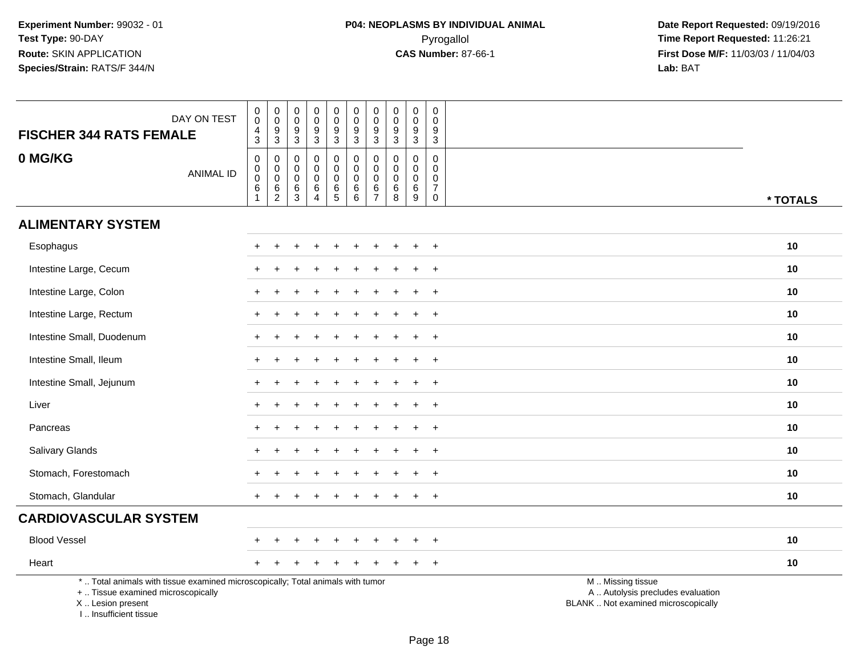| <b>FISCHER 344 RATS FEMALE</b>                                                                                                                                       | DAY ON TEST      | $\pmb{0}$<br>$\mathbf 0$<br>$\frac{4}{3}$                            | $\mathbf 0$<br>$\overline{0}$<br>$\frac{9}{3}$     | $\pmb{0}$<br>$\mathbf 0$<br>$\boldsymbol{9}$<br>$\mathbf{3}$ | $\mathbf 0$<br>$\mathbf 0$<br>$\boldsymbol{9}$<br>3               | $\pmb{0}$<br>$\boldsymbol{0}$<br>$\frac{9}{3}$ | $\pmb{0}$<br>$\mathbf 0$<br>9<br>$\mathbf{3}$    | $\pmb{0}$<br>$\pmb{0}$<br>$\boldsymbol{9}$<br>3          | $\pmb{0}$<br>$\pmb{0}$<br>$\frac{9}{3}$   | $\mathbf 0$<br>$\mathbf 0$<br>$\boldsymbol{9}$<br>$\overline{3}$ | $\pmb{0}$<br>$\mathbf 0$<br>$\boldsymbol{9}$<br>$\mathbf{3}$ |                                                                                               |
|----------------------------------------------------------------------------------------------------------------------------------------------------------------------|------------------|----------------------------------------------------------------------|----------------------------------------------------|--------------------------------------------------------------|-------------------------------------------------------------------|------------------------------------------------|--------------------------------------------------|----------------------------------------------------------|-------------------------------------------|------------------------------------------------------------------|--------------------------------------------------------------|-----------------------------------------------------------------------------------------------|
| 0 MG/KG                                                                                                                                                              | <b>ANIMAL ID</b> | 0<br>$\mathbf 0$<br>$\mathsf{O}\xspace$<br>$\,6\,$<br>$\overline{1}$ | $\mathbf 0$<br>$_{\rm 0}^{\rm 0}$<br>$\frac{6}{2}$ | $\mathbf 0$<br>0<br>$\mathbf 0$<br>$^6_3$                    | $\mathbf 0$<br>$\Omega$<br>$\mathbf 0$<br>$\,6$<br>$\overline{4}$ | 0<br>$\mathbf 0$<br>$\pmb{0}$<br>$6\over 5$    | 0<br>$\mathbf 0$<br>$\mathbf 0$<br>$\frac{6}{6}$ | $\mathbf 0$<br>$\pmb{0}$<br>$\mathbf 0$<br>$\frac{6}{7}$ | 0<br>$\mathbf 0$<br>$\mathbf 0$<br>$^6_8$ | $\mathbf 0$<br>$\mathbf 0$<br>$\mathbf 0$<br>$\,6\,$<br>9        | $\mathbf 0$<br>0<br>0<br>$\overline{7}$<br>$\mathbf 0$       | * TOTALS                                                                                      |
| <b>ALIMENTARY SYSTEM</b>                                                                                                                                             |                  |                                                                      |                                                    |                                                              |                                                                   |                                                |                                                  |                                                          |                                           |                                                                  |                                                              |                                                                                               |
| Esophagus                                                                                                                                                            |                  |                                                                      |                                                    |                                                              |                                                                   |                                                |                                                  |                                                          |                                           |                                                                  | $\div$                                                       | 10                                                                                            |
| Intestine Large, Cecum                                                                                                                                               |                  |                                                                      |                                                    |                                                              |                                                                   |                                                |                                                  |                                                          |                                           |                                                                  | $\ddot{}$                                                    | 10                                                                                            |
| Intestine Large, Colon                                                                                                                                               |                  |                                                                      |                                                    |                                                              |                                                                   |                                                |                                                  |                                                          |                                           |                                                                  | $\ddot{}$                                                    | 10                                                                                            |
| Intestine Large, Rectum                                                                                                                                              |                  |                                                                      |                                                    |                                                              |                                                                   |                                                |                                                  |                                                          |                                           |                                                                  | $+$                                                          | 10                                                                                            |
| Intestine Small, Duodenum                                                                                                                                            |                  |                                                                      |                                                    |                                                              |                                                                   |                                                |                                                  |                                                          |                                           |                                                                  | $\ddot{}$                                                    | 10                                                                                            |
| Intestine Small, Ileum                                                                                                                                               |                  |                                                                      |                                                    |                                                              |                                                                   |                                                |                                                  |                                                          |                                           |                                                                  | $\ddot{}$                                                    | 10                                                                                            |
| Intestine Small, Jejunum                                                                                                                                             |                  |                                                                      |                                                    |                                                              |                                                                   |                                                |                                                  |                                                          |                                           | $\div$                                                           | $\overline{+}$                                               | 10                                                                                            |
| Liver                                                                                                                                                                |                  |                                                                      |                                                    |                                                              |                                                                   |                                                |                                                  |                                                          |                                           |                                                                  | $\ddot{}$                                                    | 10                                                                                            |
| Pancreas                                                                                                                                                             |                  |                                                                      |                                                    |                                                              |                                                                   |                                                |                                                  |                                                          |                                           |                                                                  | $\ddot{}$                                                    | 10                                                                                            |
| <b>Salivary Glands</b>                                                                                                                                               |                  |                                                                      |                                                    |                                                              |                                                                   |                                                |                                                  |                                                          |                                           |                                                                  | $\overline{+}$                                               | 10                                                                                            |
| Stomach, Forestomach                                                                                                                                                 |                  |                                                                      |                                                    |                                                              |                                                                   |                                                |                                                  |                                                          |                                           |                                                                  | $\div$                                                       | 10                                                                                            |
| Stomach, Glandular                                                                                                                                                   |                  |                                                                      |                                                    |                                                              |                                                                   |                                                |                                                  |                                                          |                                           |                                                                  | $\overline{+}$                                               | 10                                                                                            |
| <b>CARDIOVASCULAR SYSTEM</b>                                                                                                                                         |                  |                                                                      |                                                    |                                                              |                                                                   |                                                |                                                  |                                                          |                                           |                                                                  |                                                              |                                                                                               |
| <b>Blood Vessel</b>                                                                                                                                                  |                  |                                                                      |                                                    |                                                              |                                                                   |                                                |                                                  |                                                          |                                           |                                                                  | $\overline{+}$                                               | 10                                                                                            |
| Heart                                                                                                                                                                |                  |                                                                      |                                                    |                                                              |                                                                   |                                                |                                                  |                                                          |                                           |                                                                  | $\overline{+}$                                               | 10                                                                                            |
| *  Total animals with tissue examined microscopically; Total animals with tumor<br>+  Tissue examined microscopically<br>X  Lesion present<br>I  Insufficient tissue |                  |                                                                      |                                                    |                                                              |                                                                   |                                                |                                                  |                                                          |                                           |                                                                  |                                                              | M  Missing tissue<br>A  Autolysis precludes evaluation<br>BLANK  Not examined microscopically |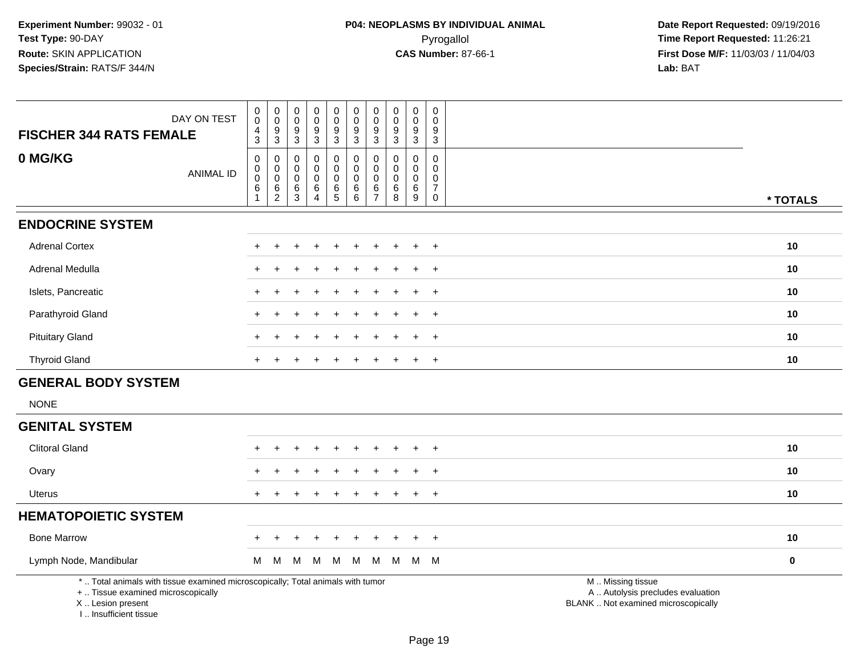| <b>FISCHER 344 RATS FEMALE</b>                                                                                        | DAY ON TEST      | 0<br>0<br>4<br>3           | $\begin{smallmatrix} 0\\0 \end{smallmatrix}$<br>$\frac{9}{3}$            | 0<br>$\mathbf 0$<br>9<br>$\mathbf{3}$                | $_{\rm 0}^{\rm 0}$<br>$\boldsymbol{9}$<br>$\overline{3}$         | $\begin{array}{c} 0 \\ 0 \\ 9 \\ 3 \end{array}$ | $\pmb{0}$<br>$\mathbf 0$<br>$\overline{9}$<br>$\overline{3}$ | $\begin{smallmatrix} 0\\0 \end{smallmatrix}$<br>$\overline{9}$<br>$\overline{3}$ | $\mathbf 0$<br>$\mathbf 0$<br>9<br>3           | 0<br>$\mathbf 0$<br>9<br>$\sqrt{3}$                                | 0<br>$\mathbf 0$<br>9<br>$\mathbf{3}$                                    |                                                        |           |
|-----------------------------------------------------------------------------------------------------------------------|------------------|----------------------------|--------------------------------------------------------------------------|------------------------------------------------------|------------------------------------------------------------------|-------------------------------------------------|--------------------------------------------------------------|----------------------------------------------------------------------------------|------------------------------------------------|--------------------------------------------------------------------|--------------------------------------------------------------------------|--------------------------------------------------------|-----------|
| 0 MG/KG                                                                                                               | <b>ANIMAL ID</b> | 0<br>0<br>$\mathbf 0$<br>6 | $\mathbf 0$<br>$\mathbf 0$<br>$\mathbf 0$<br>$\,6\,$<br>$\boldsymbol{2}$ | $\mathbf 0$<br>0<br>$\mathbf 0$<br>6<br>$\mathbf{3}$ | $\mathbf 0$<br>$\mathbf 0$<br>$\mathbf 0$<br>6<br>$\overline{4}$ | $\mathbf 0$<br>0<br>$\pmb{0}$<br>$6\over 5$     | 0<br>$\mathbf 0$<br>$\mathbf 0$<br>6<br>6                    | $\mathbf 0$<br>$\pmb{0}$<br>$\mathbf 0$<br>$\,6\,$<br>$\overline{7}$             | 0<br>$\mathbf 0$<br>$\mathbf 0$<br>6<br>$\bf8$ | $\mathbf 0$<br>$\mathbf 0$<br>$\mathbf 0$<br>6<br>$\boldsymbol{9}$ | $\mathbf 0$<br>$\mathbf 0$<br>$\mathbf 0$<br>$\overline{7}$<br>$\pmb{0}$ |                                                        | * TOTALS  |
| <b>ENDOCRINE SYSTEM</b>                                                                                               |                  |                            |                                                                          |                                                      |                                                                  |                                                 |                                                              |                                                                                  |                                                |                                                                    |                                                                          |                                                        |           |
| <b>Adrenal Cortex</b>                                                                                                 |                  |                            |                                                                          |                                                      |                                                                  |                                                 |                                                              |                                                                                  |                                                |                                                                    | $+$                                                                      |                                                        | 10        |
| Adrenal Medulla                                                                                                       |                  |                            |                                                                          |                                                      |                                                                  |                                                 |                                                              |                                                                                  |                                                |                                                                    | $\ddot{}$                                                                |                                                        | 10        |
| Islets, Pancreatic                                                                                                    |                  |                            |                                                                          |                                                      |                                                                  |                                                 |                                                              |                                                                                  |                                                |                                                                    | $+$                                                                      |                                                        | 10        |
| Parathyroid Gland                                                                                                     |                  |                            |                                                                          |                                                      |                                                                  |                                                 |                                                              |                                                                                  |                                                |                                                                    | $\overline{1}$                                                           |                                                        | 10        |
| <b>Pituitary Gland</b>                                                                                                |                  |                            |                                                                          |                                                      |                                                                  |                                                 |                                                              |                                                                                  |                                                |                                                                    | $\overline{+}$                                                           |                                                        | 10        |
| <b>Thyroid Gland</b>                                                                                                  |                  | $\pm$                      |                                                                          |                                                      |                                                                  |                                                 |                                                              |                                                                                  |                                                |                                                                    | $+$                                                                      |                                                        | 10        |
| <b>GENERAL BODY SYSTEM</b>                                                                                            |                  |                            |                                                                          |                                                      |                                                                  |                                                 |                                                              |                                                                                  |                                                |                                                                    |                                                                          |                                                        |           |
| <b>NONE</b>                                                                                                           |                  |                            |                                                                          |                                                      |                                                                  |                                                 |                                                              |                                                                                  |                                                |                                                                    |                                                                          |                                                        |           |
| <b>GENITAL SYSTEM</b>                                                                                                 |                  |                            |                                                                          |                                                      |                                                                  |                                                 |                                                              |                                                                                  |                                                |                                                                    |                                                                          |                                                        |           |
| <b>Clitoral Gland</b>                                                                                                 |                  |                            |                                                                          |                                                      |                                                                  |                                                 |                                                              |                                                                                  |                                                |                                                                    | $\ddot{}$                                                                |                                                        | 10        |
| Ovary                                                                                                                 |                  |                            |                                                                          |                                                      |                                                                  |                                                 |                                                              |                                                                                  |                                                |                                                                    | $\overline{+}$                                                           |                                                        | 10        |
| Uterus                                                                                                                |                  |                            |                                                                          |                                                      |                                                                  |                                                 |                                                              |                                                                                  |                                                |                                                                    | $\ddot{}$                                                                |                                                        | 10        |
| <b>HEMATOPOIETIC SYSTEM</b>                                                                                           |                  |                            |                                                                          |                                                      |                                                                  |                                                 |                                                              |                                                                                  |                                                |                                                                    |                                                                          |                                                        |           |
| <b>Bone Marrow</b>                                                                                                    |                  | $+$                        |                                                                          |                                                      |                                                                  |                                                 |                                                              |                                                                                  |                                                |                                                                    | $+$                                                                      |                                                        | 10        |
| Lymph Node, Mandibular                                                                                                |                  | м                          | M                                                                        | M                                                    | M                                                                | M                                               | M                                                            | M                                                                                | M                                              |                                                                    | M M                                                                      |                                                        | $\pmb{0}$ |
| *  Total animals with tissue examined microscopically; Total animals with tumor<br>+  Tissue examined microscopically |                  |                            |                                                                          |                                                      |                                                                  |                                                 |                                                              |                                                                                  |                                                |                                                                    |                                                                          | M  Missing tissue<br>A  Autolysis precludes evaluation |           |

 Lesion present BLANK .. Not examined microscopicallyX .. Lesion present

I .. Insufficient tissue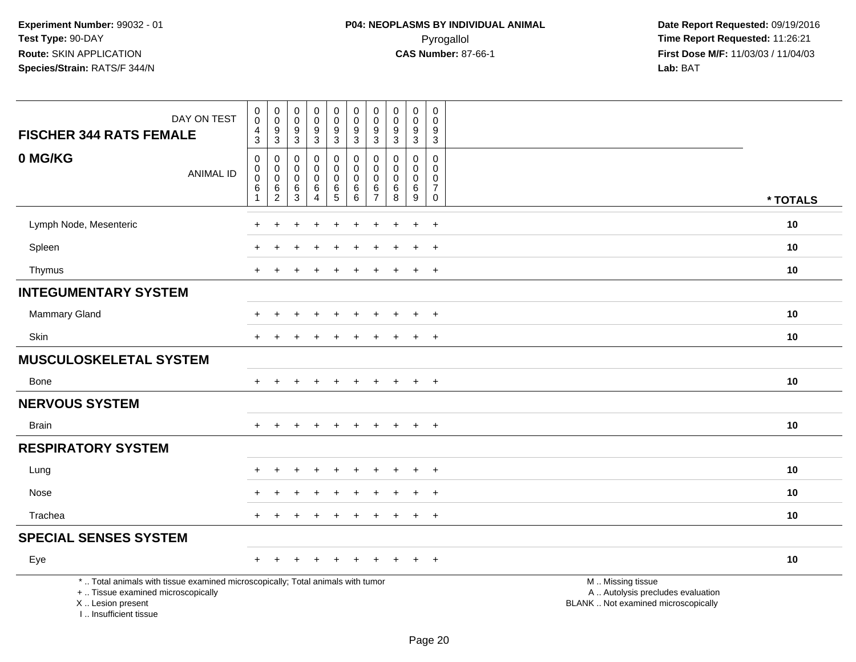|                                                                                                                                                                     |                                              |                                              | 0                |                                             |                                       |                            | $\mathbf 0$                     | $\pmb{0}$                       |                                             | $\pmb{0}$                       |                                                                                               |          |
|---------------------------------------------------------------------------------------------------------------------------------------------------------------------|----------------------------------------------|----------------------------------------------|------------------|---------------------------------------------|---------------------------------------|----------------------------|---------------------------------|---------------------------------|---------------------------------------------|---------------------------------|-----------------------------------------------------------------------------------------------|----------|
| DAY ON TEST                                                                                                                                                         | $\begin{smallmatrix} 0\\0 \end{smallmatrix}$ | $\begin{smallmatrix} 0\\0 \end{smallmatrix}$ | $\overline{0}$   | $\begin{smallmatrix}0\0\0\end{smallmatrix}$ | $_{\rm 0}^{\rm 0}$                    | $_{\rm 0}^{\rm 0}$         | $\mathbf 0$<br>$\boldsymbol{9}$ | $\mathbf 0$<br>$\boldsymbol{9}$ | $\begin{smallmatrix}0\0\0\end{smallmatrix}$ | $\mathbf 0$<br>$\boldsymbol{9}$ |                                                                                               |          |
| <b>FISCHER 344 RATS FEMALE</b>                                                                                                                                      | $\frac{4}{3}$                                | $\frac{9}{3}$                                | $\frac{9}{3}$    | $\frac{9}{3}$                               | $\frac{9}{3}$                         | $\frac{9}{3}$              | $\mathbf{3}$                    | $\overline{3}$                  | $\frac{9}{3}$                               | $\overline{3}$                  |                                                                                               |          |
| 0 MG/KG                                                                                                                                                             | $\boldsymbol{0}$<br>$\mathbf 0$              | $\mathbf 0$<br>$\mathbf 0$                   | 0<br>$\mathbf 0$ | 0<br>$\mathbf 0$                            | 0<br>$\mathbf 0$                      | $\mathbf 0$<br>$\mathbf 0$ | 0<br>$\Omega$                   | 0<br>$\Omega$                   | 0<br>$\mathbf 0$                            | $\mathbf 0$<br>$\mathbf 0$      |                                                                                               |          |
| <b>ANIMAL ID</b>                                                                                                                                                    | $\mathbf 0$                                  | $\mathbf 0$                                  | 0                | $\mathbf 0$                                 | $\pmb{0}$                             | $\mathbf 0$                | $\Omega$                        | $\Omega$                        | $\mathbf 0$                                 | $\mathbf 0$                     |                                                                                               |          |
|                                                                                                                                                                     | $\,6\,$<br>$\overline{1}$                    | $\frac{6}{2}$                                | $^6_3$           | $\frac{6}{4}$                               | $\begin{array}{c} 6 \\ 5 \end{array}$ | $^6_6$                     | 6<br>$\overline{7}$             | $\,6$<br>8                      | $\frac{6}{9}$                               | $\overline{7}$<br>$\mathbf 0$   |                                                                                               | * TOTALS |
| Lymph Node, Mesenteric                                                                                                                                              |                                              |                                              |                  |                                             |                                       |                            |                                 |                                 |                                             | $\overline{+}$                  |                                                                                               | 10       |
| Spleen                                                                                                                                                              |                                              |                                              |                  |                                             |                                       |                            |                                 |                                 |                                             | $\overline{+}$                  |                                                                                               | 10       |
|                                                                                                                                                                     |                                              |                                              |                  |                                             |                                       |                            |                                 |                                 |                                             |                                 |                                                                                               |          |
| Thymus                                                                                                                                                              | $\pm$                                        |                                              |                  |                                             |                                       |                            |                                 |                                 | $\ddot{}$                                   | $+$                             |                                                                                               | 10       |
| <b>INTEGUMENTARY SYSTEM</b>                                                                                                                                         |                                              |                                              |                  |                                             |                                       |                            |                                 |                                 |                                             |                                 |                                                                                               |          |
| <b>Mammary Gland</b>                                                                                                                                                |                                              |                                              |                  |                                             |                                       |                            |                                 |                                 |                                             | $\ddot{}$                       |                                                                                               | 10       |
| Skin                                                                                                                                                                |                                              |                                              |                  |                                             |                                       |                            |                                 |                                 |                                             | $\ddot{}$                       |                                                                                               | 10       |
| <b>MUSCULOSKELETAL SYSTEM</b>                                                                                                                                       |                                              |                                              |                  |                                             |                                       |                            |                                 |                                 |                                             |                                 |                                                                                               |          |
| <b>Bone</b>                                                                                                                                                         | $+$                                          | $\ddot{}$                                    | $\ddot{}$        | $\ddot{}$                                   | $+$                                   | $+$                        | $\ddot{}$                       | $\pm$                           | $\ddot{}$                                   | $+$                             |                                                                                               | 10       |
| <b>NERVOUS SYSTEM</b>                                                                                                                                               |                                              |                                              |                  |                                             |                                       |                            |                                 |                                 |                                             |                                 |                                                                                               |          |
| <b>Brain</b>                                                                                                                                                        |                                              |                                              |                  |                                             |                                       |                            |                                 |                                 | $+$                                         | $+$                             |                                                                                               | 10       |
| <b>RESPIRATORY SYSTEM</b>                                                                                                                                           |                                              |                                              |                  |                                             |                                       |                            |                                 |                                 |                                             |                                 |                                                                                               |          |
| Lung                                                                                                                                                                |                                              |                                              |                  |                                             |                                       |                            |                                 |                                 | $\ddot{}$                                   | $^{+}$                          |                                                                                               | 10       |
| Nose                                                                                                                                                                |                                              |                                              |                  |                                             |                                       |                            |                                 |                                 | $\ddot{+}$                                  | $+$                             |                                                                                               | 10       |
| Trachea                                                                                                                                                             |                                              |                                              |                  |                                             |                                       |                            |                                 |                                 | $\ddot{}$                                   | $+$                             |                                                                                               | 10       |
| <b>SPECIAL SENSES SYSTEM</b>                                                                                                                                        |                                              |                                              |                  |                                             |                                       |                            |                                 |                                 |                                             |                                 |                                                                                               |          |
| Eye                                                                                                                                                                 |                                              |                                              |                  |                                             |                                       |                            |                                 |                                 |                                             | $\overline{+}$                  |                                                                                               | 10       |
| *  Total animals with tissue examined microscopically; Total animals with tumor<br>+  Tissue examined microscopically<br>X  Lesion present<br>I Insufficient tissue |                                              |                                              |                  |                                             |                                       |                            |                                 |                                 |                                             |                                 | M  Missing tissue<br>A  Autolysis precludes evaluation<br>BLANK  Not examined microscopically |          |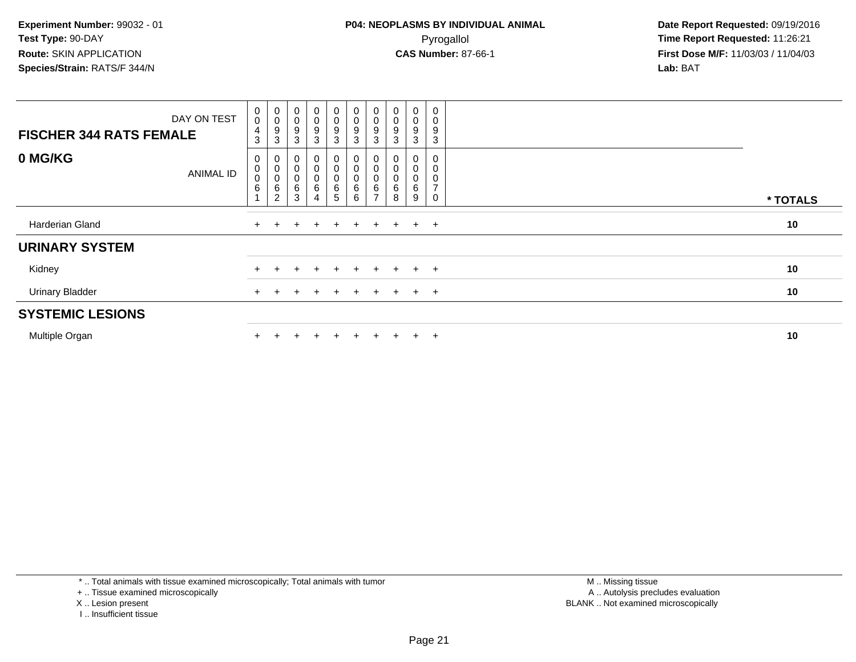| DAY ON TEST<br><b>FISCHER 344 RATS FEMALE</b> | $\begin{smallmatrix}0\0\0\end{smallmatrix}$<br>$\overline{4}$<br>3 | $_{\rm 0}^{\rm 0}$<br>$\boldsymbol{9}$<br>3                | $\mathbf 0$<br>9           | 0<br>0<br>9<br>3      | $\begin{smallmatrix}0\0\0\9\end{smallmatrix}$<br>3 | 0<br>$_{9}^{\rm 0}$<br>3              | $\begin{smallmatrix}0\\0\\9\end{smallmatrix}$<br>3           | 0<br>$_{9}^{\rm 0}$<br>3 | 0<br>0<br>9<br>3      | 9<br>3              |  |          |
|-----------------------------------------------|--------------------------------------------------------------------|------------------------------------------------------------|----------------------------|-----------------------|----------------------------------------------------|---------------------------------------|--------------------------------------------------------------|--------------------------|-----------------------|---------------------|--|----------|
| 0 MG/KG<br><b>ANIMAL ID</b>                   | 0<br>$\pmb{0}$<br>$\mathbf 0$<br>$\,6$                             | $_{\rm 0}^{\rm 0}$<br>$\pmb{0}$<br>$\,6$<br>$\overline{2}$ | $\mathbf 0$<br>0<br>6<br>3 | 0<br>0<br>0<br>6<br>4 | 0<br>0<br>$\pmb{0}$<br>$\,6$<br>5                  | 0<br>$\mathsf 0$<br>0<br>$\,6\,$<br>6 | $_{\rm 0}^{\rm 0}$<br>$\pmb{0}$<br>$\,6\,$<br>$\overline{ }$ | 0<br>0<br>6<br>8         | 0<br>0<br>0<br>6<br>9 | $\overline{7}$<br>0 |  | * TOTALS |
| Harderian Gland                               |                                                                    |                                                            |                            |                       | $+$                                                | $+$                                   | $+$                                                          | $+$                      | $+$                   | $+$                 |  | 10       |
| <b>URINARY SYSTEM</b>                         |                                                                    |                                                            |                            |                       |                                                    |                                       |                                                              |                          |                       |                     |  |          |
| Kidney                                        |                                                                    |                                                            | ÷                          | $\ddot{}$             | $+$                                                | $+$                                   | $+$ $-$                                                      | $+$                      | $+$ $+$               |                     |  | 10       |
| <b>Urinary Bladder</b>                        |                                                                    |                                                            | ÷                          |                       | $+$                                                | $+$                                   | $+$                                                          | $+$                      | $+$ $+$               |                     |  | 10       |
| <b>SYSTEMIC LESIONS</b>                       |                                                                    |                                                            |                            |                       |                                                    |                                       |                                                              |                          |                       |                     |  |          |
| Multiple Organ                                |                                                                    |                                                            |                            |                       |                                                    |                                       |                                                              |                          | $\pm$                 | $+$                 |  | 10       |

\* .. Total animals with tissue examined microscopically; Total animals with tumor

+ .. Tissue examined microscopically

X .. Lesion present

I .. Insufficient tissue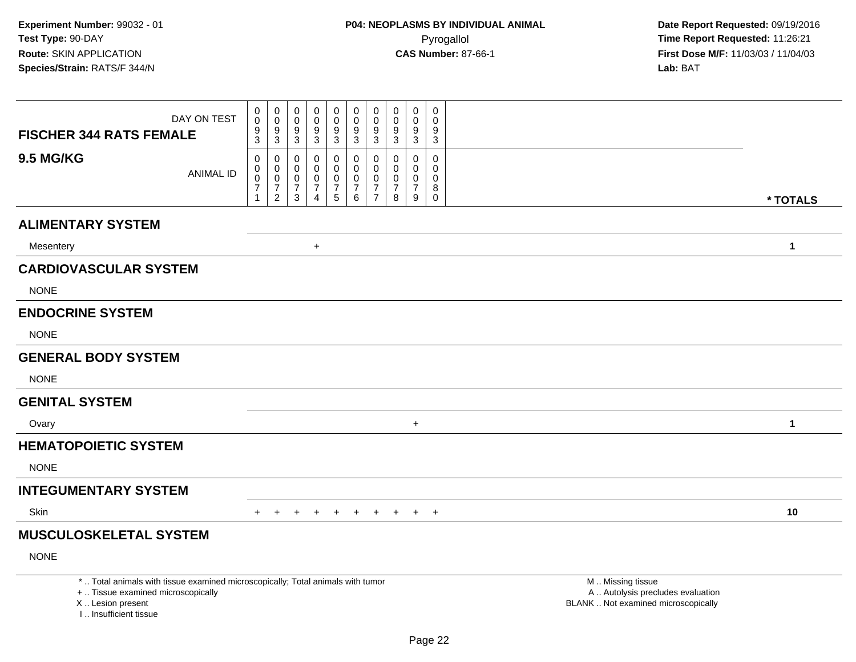| <b>FISCHER 344 RATS FEMALE</b>                                                   | DAY ON TEST                                                                     | $\mathbf 0$<br>$\mathsf{O}\xspace$<br>9<br>$\overline{3}$ | $\pmb{0}$<br>$\boldsymbol{0}$<br>$\boldsymbol{9}$<br>$\mathbf{3}$     | 0<br>$\mathbf 0$<br>9<br>3         | $\boldsymbol{0}$<br>$\pmb{0}$<br>9<br>$\mathbf{3}$        | 0<br>$\mathbf 0$<br>$\overline{9}$<br>$\overline{3}$                  | $\pmb{0}$<br>$\mathbf 0$<br>$\boldsymbol{9}$<br>$\mathbf{3}$  | $\pmb{0}$<br>$\pmb{0}$<br>9<br>$\sqrt{3}$                       | 0<br>$\mathbf 0$<br>9<br>$\mathbf{3}$                   | $\mathbf 0$<br>$\pmb{0}$<br>9<br>$\mathbf{3}$          | 0<br>$\mathbf 0$<br>9<br>$\sqrt{3}$                         |                                                                                               |              |
|----------------------------------------------------------------------------------|---------------------------------------------------------------------------------|-----------------------------------------------------------|-----------------------------------------------------------------------|------------------------------------|-----------------------------------------------------------|-----------------------------------------------------------------------|---------------------------------------------------------------|-----------------------------------------------------------------|---------------------------------------------------------|--------------------------------------------------------|-------------------------------------------------------------|-----------------------------------------------------------------------------------------------|--------------|
| <b>9.5 MG/KG</b>                                                                 | <b>ANIMAL ID</b>                                                                | 0<br>$\pmb{0}$<br>0<br>$\overline{7}$<br>1                | 0<br>$\mathbf 0$<br>$\mathbf 0$<br>$\boldsymbol{7}$<br>$\overline{2}$ | 0<br>0<br>0<br>$\overline{7}$<br>3 | 0<br>$\mathbf 0$<br>0<br>$\overline{7}$<br>$\overline{4}$ | 0<br>$\mathsf{O}$<br>$\mathbf 0$<br>$\overline{7}$<br>$5\phantom{.0}$ | 0<br>$\mathsf{O}$<br>$\mathbf 0$<br>$\overline{7}$<br>$\,6\,$ | 0<br>$\pmb{0}$<br>$\pmb{0}$<br>$\overline{7}$<br>$\overline{7}$ | $\mathbf 0$<br>$\mathbf{0}$<br>0<br>$\overline{7}$<br>8 | 0<br>$\mathbf 0$<br>$\mathbf 0$<br>$\overline{7}$<br>9 | 0<br>$\mathbf 0$<br>$\mathbf 0$<br>8<br>$\mathsf{O}\xspace$ |                                                                                               |              |
|                                                                                  |                                                                                 |                                                           |                                                                       |                                    |                                                           |                                                                       |                                                               |                                                                 |                                                         |                                                        |                                                             |                                                                                               | * TOTALS     |
| <b>ALIMENTARY SYSTEM</b>                                                         |                                                                                 |                                                           |                                                                       |                                    |                                                           |                                                                       |                                                               |                                                                 |                                                         |                                                        |                                                             |                                                                                               |              |
| Mesentery                                                                        |                                                                                 |                                                           |                                                                       |                                    | $\ddot{}$                                                 |                                                                       |                                                               |                                                                 |                                                         |                                                        |                                                             |                                                                                               | $\mathbf{1}$ |
| <b>CARDIOVASCULAR SYSTEM</b>                                                     |                                                                                 |                                                           |                                                                       |                                    |                                                           |                                                                       |                                                               |                                                                 |                                                         |                                                        |                                                             |                                                                                               |              |
| <b>NONE</b>                                                                      |                                                                                 |                                                           |                                                                       |                                    |                                                           |                                                                       |                                                               |                                                                 |                                                         |                                                        |                                                             |                                                                                               |              |
| <b>ENDOCRINE SYSTEM</b>                                                          |                                                                                 |                                                           |                                                                       |                                    |                                                           |                                                                       |                                                               |                                                                 |                                                         |                                                        |                                                             |                                                                                               |              |
| <b>NONE</b>                                                                      |                                                                                 |                                                           |                                                                       |                                    |                                                           |                                                                       |                                                               |                                                                 |                                                         |                                                        |                                                             |                                                                                               |              |
| <b>GENERAL BODY SYSTEM</b>                                                       |                                                                                 |                                                           |                                                                       |                                    |                                                           |                                                                       |                                                               |                                                                 |                                                         |                                                        |                                                             |                                                                                               |              |
| <b>NONE</b>                                                                      |                                                                                 |                                                           |                                                                       |                                    |                                                           |                                                                       |                                                               |                                                                 |                                                         |                                                        |                                                             |                                                                                               |              |
| <b>GENITAL SYSTEM</b>                                                            |                                                                                 |                                                           |                                                                       |                                    |                                                           |                                                                       |                                                               |                                                                 |                                                         |                                                        |                                                             |                                                                                               |              |
| Ovary                                                                            |                                                                                 |                                                           |                                                                       |                                    |                                                           |                                                                       |                                                               |                                                                 |                                                         | $\ddot{}$                                              |                                                             |                                                                                               | $\mathbf{1}$ |
| <b>HEMATOPOIETIC SYSTEM</b>                                                      |                                                                                 |                                                           |                                                                       |                                    |                                                           |                                                                       |                                                               |                                                                 |                                                         |                                                        |                                                             |                                                                                               |              |
| <b>NONE</b>                                                                      |                                                                                 |                                                           |                                                                       |                                    |                                                           |                                                                       |                                                               |                                                                 |                                                         |                                                        |                                                             |                                                                                               |              |
| <b>INTEGUMENTARY SYSTEM</b>                                                      |                                                                                 |                                                           |                                                                       |                                    |                                                           |                                                                       |                                                               |                                                                 |                                                         |                                                        |                                                             |                                                                                               |              |
| Skin                                                                             |                                                                                 | $+$                                                       | $+$                                                                   | $+$                                | $+$                                                       | $+$                                                                   | $+$                                                           | $+$                                                             |                                                         | $+$ $+$ $+$                                            |                                                             |                                                                                               | 10           |
| <b>MUSCULOSKELETAL SYSTEM</b>                                                    |                                                                                 |                                                           |                                                                       |                                    |                                                           |                                                                       |                                                               |                                                                 |                                                         |                                                        |                                                             |                                                                                               |              |
| <b>NONE</b>                                                                      |                                                                                 |                                                           |                                                                       |                                    |                                                           |                                                                       |                                                               |                                                                 |                                                         |                                                        |                                                             |                                                                                               |              |
| +  Tissue examined microscopically<br>X  Lesion present<br>I Insufficient tissue | *  Total animals with tissue examined microscopically; Total animals with tumor |                                                           |                                                                       |                                    |                                                           |                                                                       |                                                               |                                                                 |                                                         |                                                        |                                                             | M  Missing tissue<br>A  Autolysis precludes evaluation<br>BLANK  Not examined microscopically |              |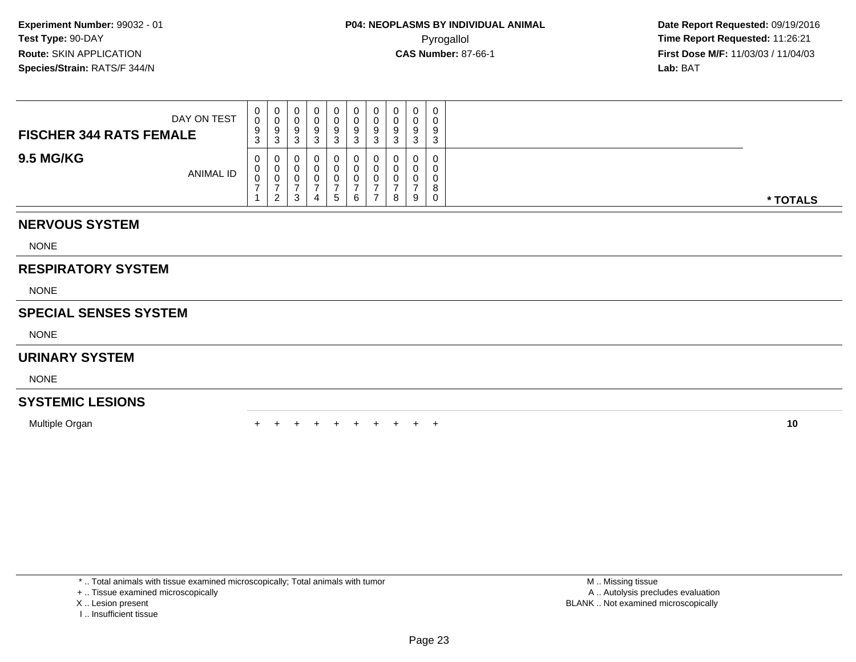| DAY ON TEST<br><b>FISCHER 344 RATS FEMALE</b> | 0<br>$\Omega$<br>v<br>9<br>ົ<br><b>ن</b> | U<br>9<br>ി<br>ు   |  | 0<br>9<br>3 | 0<br>9<br>J | 0<br>υ<br>9<br>3   |   | 0 | 0<br>0<br>9<br>3      |          |
|-----------------------------------------------|------------------------------------------|--------------------|--|-------------|-------------|--------------------|---|---|-----------------------|----------|
| <b>9.5 MG/KG</b><br><b>ANIMAL ID</b>          | 0<br>U<br>◡                              | U.<br>◡<br>່າ<br>- |  | O<br>U<br>5 | 6           | 0<br>υ<br><b>U</b> | 8 | 9 | 0<br>0<br>0<br>8<br>0 | * TOTALS |

## **NERVOUS SYSTEM**

NONE

# **RESPIRATORY SYSTEM**

NONE

# **SPECIAL SENSES SYSTEM**

NONE

### **URINARY SYSTEM**

NONE

# **SYSTEMIC LESIONS**

Multiple Organn  $+$ 

<sup>+</sup> <sup>+</sup> <sup>+</sup> <sup>+</sup> <sup>+</sup> <sup>+</sup> <sup>+</sup> <sup>+</sup> <sup>+</sup> **<sup>10</sup>**

\* .. Total animals with tissue examined microscopically; Total animals with tumor

+ .. Tissue examined microscopically

X .. Lesion present

I .. Insufficient tissue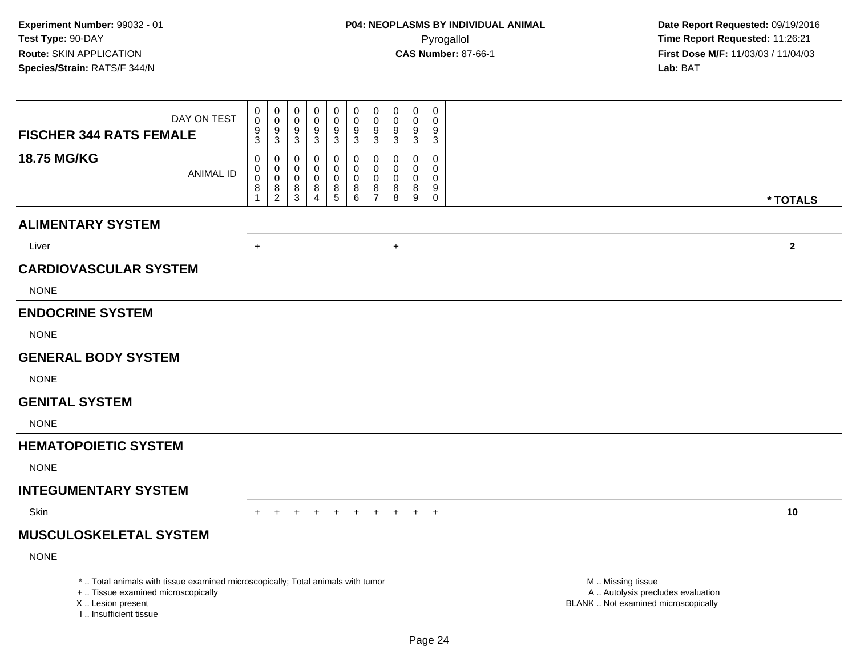| <b>FISCHER 344 RATS FEMALE</b>             | DAY ON TEST                                                                                                           | $\begin{smallmatrix}0\0\0\end{smallmatrix}$<br>$9\,$<br>$\overline{3}$ | $\begin{smallmatrix} 0\\0 \end{smallmatrix}$<br>$\frac{9}{3}$                     | 0<br>$\Omega$<br>9<br>$\mathfrak{S}$               | 0<br>$\mathbf 0$<br>9<br>$\mathbf{3}$            | 0<br>$\pmb{0}$<br>$\boldsymbol{9}$<br>3 | 0<br>$\pmb{0}$<br>$\boldsymbol{9}$<br>$\mathbf{3}$ | $\mathbf 0$<br>$\mathbf 0$<br>9<br>3                       | $\pmb{0}$<br>$\pmb{0}$<br>9<br>$\mathfrak{Z}$ | 0<br>$\pmb{0}$<br>9<br>$\sqrt{3}$                   | $\mathbf 0$<br>$\mathbf 0$<br>9<br>$\sqrt{3}$                 |                                                                                               |              |
|--------------------------------------------|-----------------------------------------------------------------------------------------------------------------------|------------------------------------------------------------------------|-----------------------------------------------------------------------------------|----------------------------------------------------|--------------------------------------------------|-----------------------------------------|----------------------------------------------------|------------------------------------------------------------|-----------------------------------------------|-----------------------------------------------------|---------------------------------------------------------------|-----------------------------------------------------------------------------------------------|--------------|
| 18.75 MG/KG                                | <b>ANIMAL ID</b>                                                                                                      | $\mathbf 0$<br>$\mathbf 0$<br>$\mathbf 0$<br>8<br>$\overline{1}$       | 0<br>$\mathbf 0$<br>$\mathbf 0$<br>$\begin{smallmatrix} 8 \\ 2 \end{smallmatrix}$ | 0<br>$\mathbf{0}$<br>$\Omega$<br>8<br>$\mathbf{3}$ | $\Omega$<br>0<br>$\Omega$<br>8<br>$\overline{4}$ | 0<br>0<br>0<br>8<br>5                   | 0<br>$\mathbf 0$<br>0<br>$\bf 8$<br>$6\phantom{1}$ | $\mathbf 0$<br>$\Omega$<br>$\Omega$<br>8<br>$\overline{7}$ | $\mathbf{0}$<br>0<br>$\mathbf 0$<br>$_{8}^8$  | $\mathbf 0$<br>$\mathbf 0$<br>0<br>$\bf 8$<br>$9\,$ | $\mathbf 0$<br>$\mathbf 0$<br>$\mathbf 0$<br>9<br>$\mathsf 0$ |                                                                                               | * TOTALS     |
| <b>ALIMENTARY SYSTEM</b>                   |                                                                                                                       |                                                                        |                                                                                   |                                                    |                                                  |                                         |                                                    |                                                            |                                               |                                                     |                                                               |                                                                                               |              |
| Liver                                      |                                                                                                                       | $\ddot{}$                                                              |                                                                                   |                                                    |                                                  |                                         |                                                    |                                                            | $\ddot{}$                                     |                                                     |                                                               |                                                                                               | $\mathbf{2}$ |
| <b>CARDIOVASCULAR SYSTEM</b>               |                                                                                                                       |                                                                        |                                                                                   |                                                    |                                                  |                                         |                                                    |                                                            |                                               |                                                     |                                                               |                                                                                               |              |
| <b>NONE</b>                                |                                                                                                                       |                                                                        |                                                                                   |                                                    |                                                  |                                         |                                                    |                                                            |                                               |                                                     |                                                               |                                                                                               |              |
| <b>ENDOCRINE SYSTEM</b>                    |                                                                                                                       |                                                                        |                                                                                   |                                                    |                                                  |                                         |                                                    |                                                            |                                               |                                                     |                                                               |                                                                                               |              |
| <b>NONE</b>                                |                                                                                                                       |                                                                        |                                                                                   |                                                    |                                                  |                                         |                                                    |                                                            |                                               |                                                     |                                                               |                                                                                               |              |
| <b>GENERAL BODY SYSTEM</b>                 |                                                                                                                       |                                                                        |                                                                                   |                                                    |                                                  |                                         |                                                    |                                                            |                                               |                                                     |                                                               |                                                                                               |              |
| <b>NONE</b>                                |                                                                                                                       |                                                                        |                                                                                   |                                                    |                                                  |                                         |                                                    |                                                            |                                               |                                                     |                                                               |                                                                                               |              |
| <b>GENITAL SYSTEM</b>                      |                                                                                                                       |                                                                        |                                                                                   |                                                    |                                                  |                                         |                                                    |                                                            |                                               |                                                     |                                                               |                                                                                               |              |
| <b>NONE</b>                                |                                                                                                                       |                                                                        |                                                                                   |                                                    |                                                  |                                         |                                                    |                                                            |                                               |                                                     |                                                               |                                                                                               |              |
| <b>HEMATOPOIETIC SYSTEM</b>                |                                                                                                                       |                                                                        |                                                                                   |                                                    |                                                  |                                         |                                                    |                                                            |                                               |                                                     |                                                               |                                                                                               |              |
| <b>NONE</b>                                |                                                                                                                       |                                                                        |                                                                                   |                                                    |                                                  |                                         |                                                    |                                                            |                                               |                                                     |                                                               |                                                                                               |              |
| <b>INTEGUMENTARY SYSTEM</b>                |                                                                                                                       |                                                                        |                                                                                   |                                                    |                                                  |                                         |                                                    |                                                            |                                               |                                                     |                                                               |                                                                                               |              |
| Skin                                       |                                                                                                                       | $+$                                                                    | $+$                                                                               | $+$                                                | $+$                                              | $+$                                     | $+$                                                |                                                            | + + + +                                       |                                                     |                                                               |                                                                                               | 10           |
| <b>MUSCULOSKELETAL SYSTEM</b>              |                                                                                                                       |                                                                        |                                                                                   |                                                    |                                                  |                                         |                                                    |                                                            |                                               |                                                     |                                                               |                                                                                               |              |
| <b>NONE</b>                                |                                                                                                                       |                                                                        |                                                                                   |                                                    |                                                  |                                         |                                                    |                                                            |                                               |                                                     |                                                               |                                                                                               |              |
| X  Lesion present<br>I Insufficient tissue | *  Total animals with tissue examined microscopically; Total animals with tumor<br>+  Tissue examined microscopically |                                                                        |                                                                                   |                                                    |                                                  |                                         |                                                    |                                                            |                                               |                                                     |                                                               | M  Missing tissue<br>A  Autolysis precludes evaluation<br>BLANK  Not examined microscopically |              |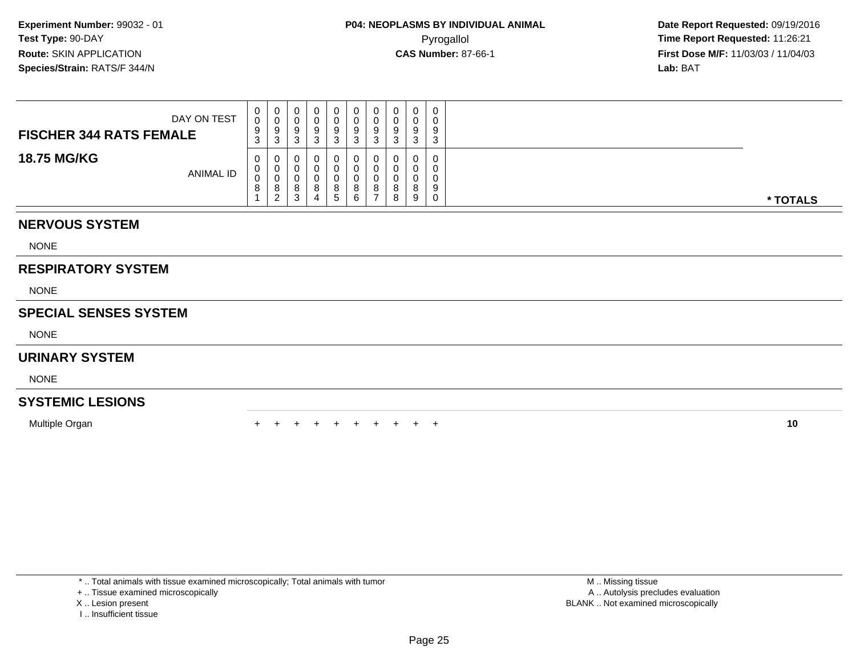| DAY ON TEST<br><b>FISCHER 344 RATS FEMALE</b> | $\mathbf{0}$<br>0<br>9<br>$\sim$<br>J. | 0<br>U<br>9<br>3      |  | 0<br>U<br>9<br>ົ<br>۰J | 0<br>U<br>9<br>د. | 0<br>9<br>3      | 0<br>υ<br>Ω<br>ົ<br>J | $\Omega$ | 0<br>0<br>9<br>ົ<br>ۍ |          |
|-----------------------------------------------|----------------------------------------|-----------------------|--|------------------------|-------------------|------------------|-----------------------|----------|-----------------------|----------|
| <b>18.75 MG/KG</b><br>ANIMAL ID               | $\mathbf{0}$<br>$\cup$<br>0<br>$\circ$ | 0<br>U<br>v<br>8<br>ົ |  | O<br>U<br>U<br>8<br>G  | 0<br>U<br>8<br>6  | υ<br>υ<br>8<br>- | v<br>υ<br>8<br>8      | $\circ$  | 0<br>0<br>0<br>9<br>0 | * TOTALS |

## **NERVOUS SYSTEM**

NONE

# **RESPIRATORY SYSTEM**

NONE

## **SPECIAL SENSES SYSTEM**

NONE

### **URINARY SYSTEM**

NONE

# **SYSTEMIC LESIONS**

Multiple Organn  $+$ 

<sup>+</sup> <sup>+</sup> <sup>+</sup> <sup>+</sup> <sup>+</sup> <sup>+</sup> <sup>+</sup> <sup>+</sup> <sup>+</sup> **<sup>10</sup>**

\* .. Total animals with tissue examined microscopically; Total animals with tumor

+ .. Tissue examined microscopically

X .. Lesion present

I .. Insufficient tissue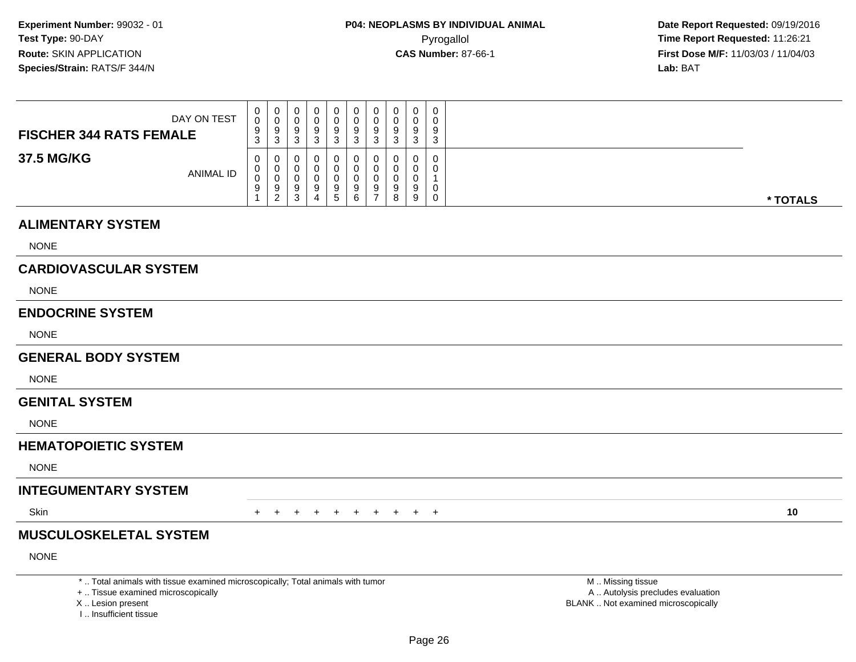**Date Report Requested:** 09/19/2016 **First Dose M/F:** 11/03/03 / 11/04/03<br>**Lab:** BAT **Lab:** BAT

| DAY ON TEST                    | $\mathbf 0$<br>0<br>9                  | U<br>v<br>9                  | 0<br>υ<br>9                           |   | 0<br>9                 | 0<br>9      | 0<br>9 | U<br>У | $\mathbf 0$<br>9 | υ<br>9 |          |
|--------------------------------|----------------------------------------|------------------------------|---------------------------------------|---|------------------------|-------------|--------|--------|------------------|--------|----------|
| <b>FISCHER 344 RATS FEMALE</b> | 3                                      | 3                            | n<br>ັ                                |   | າ                      | ົ           | З      | ບ      | -2<br>- ၁        |        |          |
| 37.5 MG/KG<br><b>ANIMAL ID</b> | $\mathbf{0}$<br>$\mathbf{0}$<br>0<br>9 | U<br>v<br>v<br>9<br><u>_</u> | U<br>υ<br>υ<br>9<br><sup>o</sup><br>ບ | 4 | 0<br>a<br>$\mathbf{c}$ | U<br>9<br>6 | 0<br>9 | ч<br>8 | 0<br>0<br>a<br>9 |        | * TOTALS |

### **ALIMENTARY SYSTEM**

NONE

# **CARDIOVASCULAR SYSTEM**

NONE

### **ENDOCRINE SYSTEM**

NONE

### **GENERAL BODY SYSTEM**

NONE

#### **GENITAL SYSTEM**

NONE

# **HEMATOPOIETIC SYSTEM**

NONE

## **INTEGUMENTARY SYSTEM**

**Skin** n  $+$ 

<sup>+</sup> <sup>+</sup> <sup>+</sup> <sup>+</sup> <sup>+</sup> <sup>+</sup> <sup>+</sup> <sup>+</sup> <sup>+</sup> **<sup>10</sup>**

# **MUSCULOSKELETAL SYSTEM**

NONE

\* .. Total animals with tissue examined microscopically; Total animals with tumor

+ .. Tissue examined microscopically

X .. Lesion present

I .. Insufficient tissue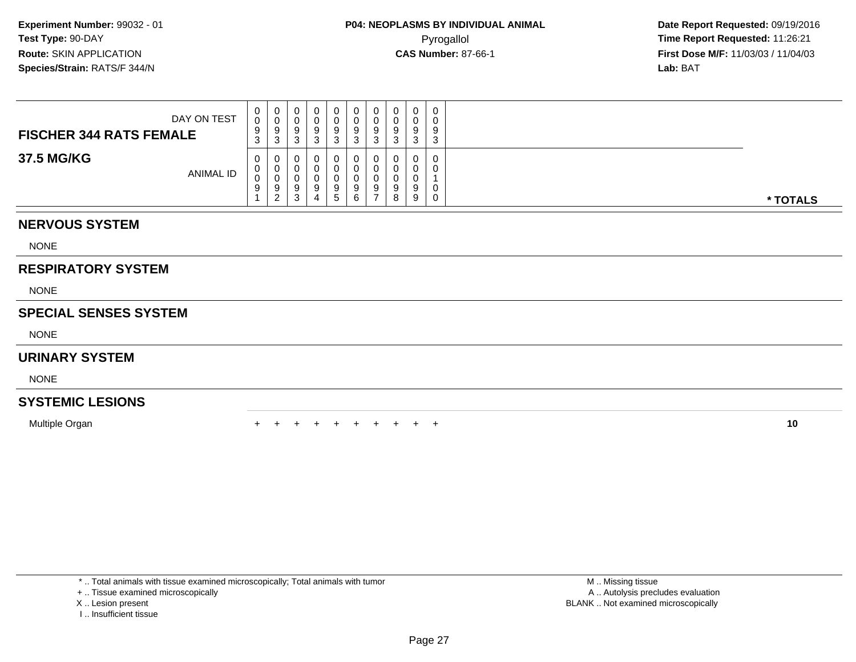| DAY ON TEST<br><b>FISCHER 344 RATS FEMALE</b> | $\mathbf{0}$<br>0<br>9<br>3 | 0<br>v<br>9<br>3      |  | 0<br>9            | 0<br>9      | 0<br>9           | 0<br>υ<br>Ω<br>⌒ | $\Omega$ | $\mathbf{0}$<br>0<br>9<br>3 |          |
|-----------------------------------------------|-----------------------------|-----------------------|--|-------------------|-------------|------------------|------------------|----------|-----------------------------|----------|
| 37.5 MG/KG<br><b>ANIMAL ID</b>                | 0<br>0<br>0<br>9            | 0<br>U<br>v<br>9<br>ຳ |  | U<br>u<br>9<br>'5 | 0<br>9<br>6 | U<br>ν<br>9<br>- | 0<br>9<br>8      | 9        | 0<br>0<br>0<br>$\mathbf{0}$ | * TOTALS |

## **NERVOUS SYSTEM**

NONE

## **RESPIRATORY SYSTEM**

NONE

## **SPECIAL SENSES SYSTEM**

NONE

### **URINARY SYSTEM**

NONE

# **SYSTEMIC LESIONS**

Multiple Organn  $+$ 

<sup>+</sup> <sup>+</sup> <sup>+</sup> <sup>+</sup> <sup>+</sup> <sup>+</sup> <sup>+</sup> <sup>+</sup> <sup>+</sup> **<sup>10</sup>**

\* .. Total animals with tissue examined microscopically; Total animals with tumor

+ .. Tissue examined microscopically

- X .. Lesion present
- I .. Insufficient tissue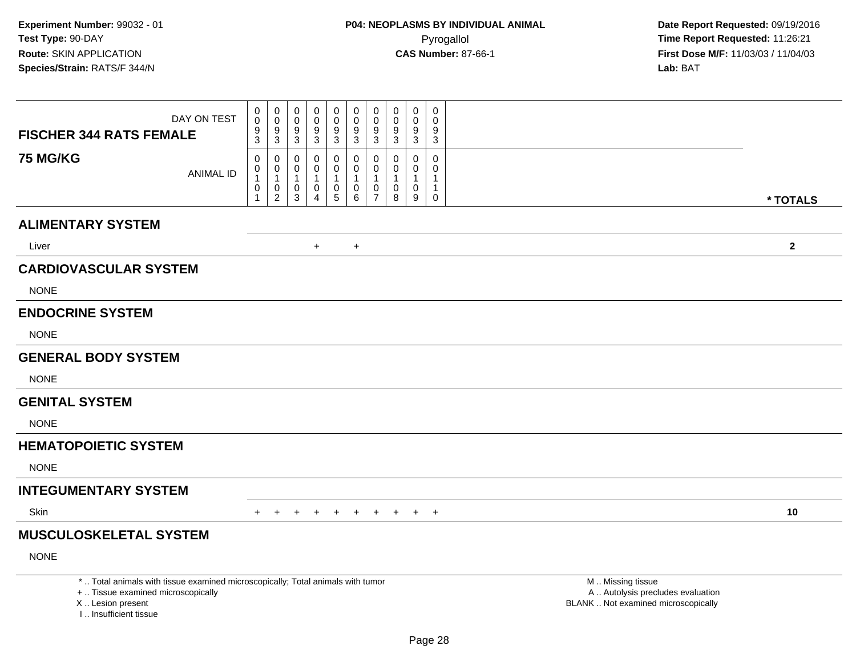| <b>FISCHER 344 RATS FEMALE</b>             | DAY ON TEST                                                                                                           | $\mathbf 0$<br>$\mathbf 0$<br>$\frac{9}{3}$                | 0<br>$\mathbf 0$<br>9<br>3                    | 0<br>$\mathbf 0$<br>9<br>$\mathbf{3}$                           | 0<br>0<br>9<br>3             | 0<br>$\pmb{0}$<br>9<br>3 | 0<br>$\pmb{0}$<br>$\boldsymbol{9}$<br>3      | 0<br>$\pmb{0}$<br>9<br>3                               | $\pmb{0}$<br>$\pmb{0}$<br>9<br>$\mathfrak{Z}$ | $\mathbf 0$<br>$\pmb{0}$<br>$\boldsymbol{9}$<br>$\sqrt{3}$ | $\mathbf 0$<br>$\mathbf 0$<br>9<br>$\sqrt{3}$                            |                                                                                               |              |
|--------------------------------------------|-----------------------------------------------------------------------------------------------------------------------|------------------------------------------------------------|-----------------------------------------------|-----------------------------------------------------------------|------------------------------|--------------------------|----------------------------------------------|--------------------------------------------------------|-----------------------------------------------|------------------------------------------------------------|--------------------------------------------------------------------------|-----------------------------------------------------------------------------------------------|--------------|
| <b>75 MG/KG</b>                            | <b>ANIMAL ID</b>                                                                                                      | 0<br>$\mathsf{O}\xspace$<br>$\mathbf{1}$<br>$\pmb{0}$<br>1 | 0<br>0<br>$\mathbf{1}$<br>0<br>$\overline{2}$ | $\mathbf 0$<br>$\mathbf 0$<br>$\mathbf{1}$<br>0<br>$\mathbf{3}$ | $\Omega$<br>0<br>1<br>0<br>4 | 0<br>0<br>0<br>5         | 0<br>$\mathbf 0$<br>$\overline{1}$<br>0<br>6 | 0<br>$\mathbf 0$<br>1<br>$\mathbf 0$<br>$\overline{7}$ | $\mathbf{0}$<br>0<br>1<br>0<br>8              | 0<br>$\mathbf 0$<br>$\mathbf{1}$<br>$\mathbf 0$<br>9       | $\mathbf 0$<br>$\mathbf 0$<br>$\mathbf 1$<br>$\mathbf{1}$<br>$\mathbf 0$ |                                                                                               |              |
|                                            |                                                                                                                       |                                                            |                                               |                                                                 |                              |                          |                                              |                                                        |                                               |                                                            |                                                                          |                                                                                               | * TOTALS     |
| <b>ALIMENTARY SYSTEM</b>                   |                                                                                                                       |                                                            |                                               |                                                                 |                              |                          |                                              |                                                        |                                               |                                                            |                                                                          |                                                                                               |              |
| Liver                                      |                                                                                                                       |                                                            |                                               |                                                                 | $+$                          |                          | $+$                                          |                                                        |                                               |                                                            |                                                                          |                                                                                               | $\mathbf{2}$ |
| <b>CARDIOVASCULAR SYSTEM</b>               |                                                                                                                       |                                                            |                                               |                                                                 |                              |                          |                                              |                                                        |                                               |                                                            |                                                                          |                                                                                               |              |
| <b>NONE</b>                                |                                                                                                                       |                                                            |                                               |                                                                 |                              |                          |                                              |                                                        |                                               |                                                            |                                                                          |                                                                                               |              |
| <b>ENDOCRINE SYSTEM</b>                    |                                                                                                                       |                                                            |                                               |                                                                 |                              |                          |                                              |                                                        |                                               |                                                            |                                                                          |                                                                                               |              |
| <b>NONE</b>                                |                                                                                                                       |                                                            |                                               |                                                                 |                              |                          |                                              |                                                        |                                               |                                                            |                                                                          |                                                                                               |              |
| <b>GENERAL BODY SYSTEM</b>                 |                                                                                                                       |                                                            |                                               |                                                                 |                              |                          |                                              |                                                        |                                               |                                                            |                                                                          |                                                                                               |              |
| <b>NONE</b>                                |                                                                                                                       |                                                            |                                               |                                                                 |                              |                          |                                              |                                                        |                                               |                                                            |                                                                          |                                                                                               |              |
| <b>GENITAL SYSTEM</b>                      |                                                                                                                       |                                                            |                                               |                                                                 |                              |                          |                                              |                                                        |                                               |                                                            |                                                                          |                                                                                               |              |
| <b>NONE</b>                                |                                                                                                                       |                                                            |                                               |                                                                 |                              |                          |                                              |                                                        |                                               |                                                            |                                                                          |                                                                                               |              |
| <b>HEMATOPOIETIC SYSTEM</b>                |                                                                                                                       |                                                            |                                               |                                                                 |                              |                          |                                              |                                                        |                                               |                                                            |                                                                          |                                                                                               |              |
| <b>NONE</b>                                |                                                                                                                       |                                                            |                                               |                                                                 |                              |                          |                                              |                                                        |                                               |                                                            |                                                                          |                                                                                               |              |
| <b>INTEGUMENTARY SYSTEM</b>                |                                                                                                                       |                                                            |                                               |                                                                 |                              |                          |                                              |                                                        |                                               |                                                            |                                                                          |                                                                                               |              |
| Skin                                       |                                                                                                                       | $+$                                                        | $+$                                           | $+$                                                             | $+$                          | $+$                      | $+$                                          | + + + +                                                |                                               |                                                            |                                                                          |                                                                                               | 10           |
| <b>MUSCULOSKELETAL SYSTEM</b>              |                                                                                                                       |                                                            |                                               |                                                                 |                              |                          |                                              |                                                        |                                               |                                                            |                                                                          |                                                                                               |              |
| <b>NONE</b>                                |                                                                                                                       |                                                            |                                               |                                                                 |                              |                          |                                              |                                                        |                                               |                                                            |                                                                          |                                                                                               |              |
| X  Lesion present<br>I Insufficient tissue | *  Total animals with tissue examined microscopically; Total animals with tumor<br>+  Tissue examined microscopically |                                                            |                                               |                                                                 |                              |                          |                                              |                                                        |                                               |                                                            |                                                                          | M  Missing tissue<br>A  Autolysis precludes evaluation<br>BLANK  Not examined microscopically |              |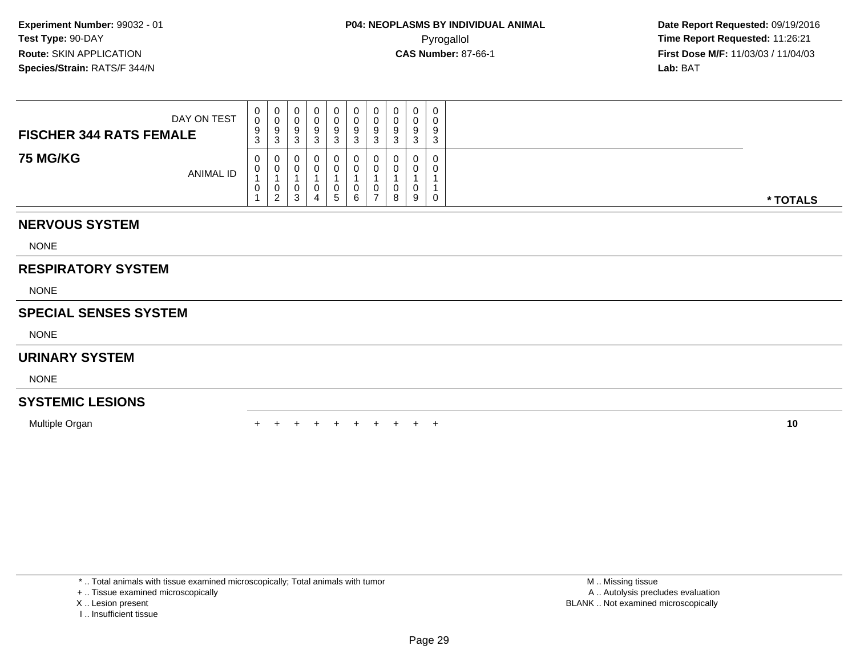| DAY ON TEST<br><b>FISCHER 344 RATS FEMALE</b> | $\mathbf{0}$<br>0<br>9<br>3 | 0<br>U<br>9<br>-3 | Ч | 0<br>U<br>9  | 0<br>0<br>9      | 0<br>9 | 0<br>υ<br>9<br>◠<br>J | 0 | 0<br>0<br>9<br>ົ<br>د |          |
|-----------------------------------------------|-----------------------------|-------------------|---|--------------|------------------|--------|-----------------------|---|-----------------------|----------|
| <b>75 MG/KG</b><br>ANIMAL ID                  | 0<br>U<br>U                 | 0<br>0<br>U<br>ຳ  | J | O<br>U<br>b. | 0<br>0<br>0<br>6 | U<br>U | 0<br>υ<br>8           | 9 | 0<br>0<br>0           | * TOTALS |

## **NERVOUS SYSTEM**

NONE

# **RESPIRATORY SYSTEM**

NONE

## **SPECIAL SENSES SYSTEM**

NONE

### **URINARY SYSTEM**

NONE

# **SYSTEMIC LESIONS**

Multiple Organn  $+$ 

<sup>+</sup> <sup>+</sup> <sup>+</sup> <sup>+</sup> <sup>+</sup> <sup>+</sup> <sup>+</sup> <sup>+</sup> <sup>+</sup> **<sup>10</sup>**

\* .. Total animals with tissue examined microscopically; Total animals with tumor

+ .. Tissue examined microscopically

X .. Lesion present

I .. Insufficient tissue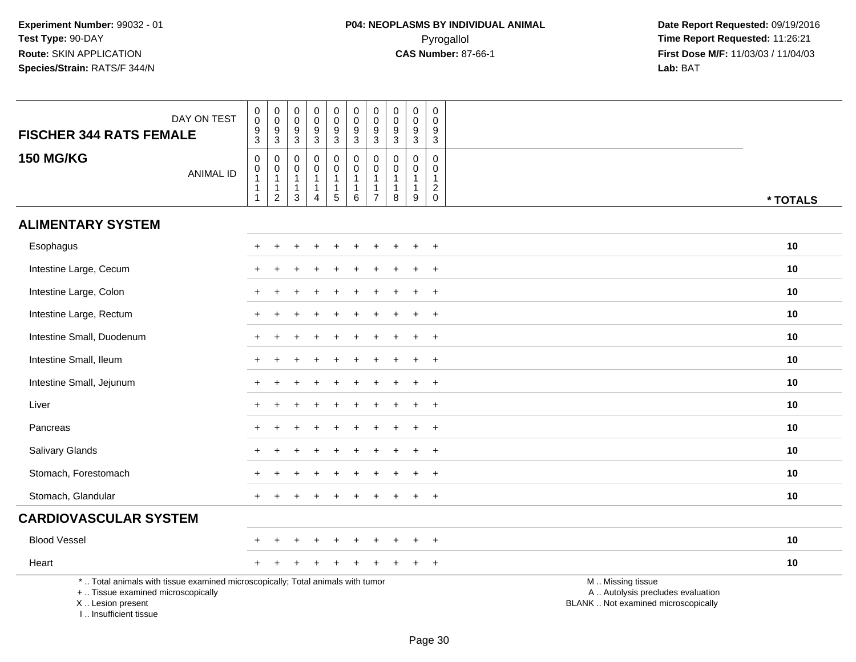| DAY ON TEST<br><b>FISCHER 344 RATS FEMALE</b>                                                                                                                       | $\pmb{0}$<br>$\mathbf 0$<br>$\frac{9}{3}$ | $\pmb{0}$<br>$\pmb{0}$<br>$\frac{9}{3}$                                        | $\pmb{0}$<br>$\mathbf 0$<br>$\boldsymbol{9}$<br>$\mathbf{3}$ | $\mathbf 0$<br>$\mathbf 0$<br>$\boldsymbol{9}$<br>3 | $\mathsf{O}\xspace$<br>$\overline{0}$<br>$\frac{9}{3}$ | $\pmb{0}$<br>$\mathsf{O}\xspace$<br>$\boldsymbol{9}$<br>$\mathbf{3}$ | $\pmb{0}$<br>$\pmb{0}$<br>$\boldsymbol{9}$<br>3                  | $\pmb{0}$<br>$\pmb{0}$<br>$\boldsymbol{9}$<br>3 | $\mathbf 0$<br>$\mathbf 0$<br>$\frac{9}{3}$                     | $\pmb{0}$<br>$\mathbf 0$<br>$\boldsymbol{9}$<br>$\mathbf{3}$                |                                                                                               |
|---------------------------------------------------------------------------------------------------------------------------------------------------------------------|-------------------------------------------|--------------------------------------------------------------------------------|--------------------------------------------------------------|-----------------------------------------------------|--------------------------------------------------------|----------------------------------------------------------------------|------------------------------------------------------------------|-------------------------------------------------|-----------------------------------------------------------------|-----------------------------------------------------------------------------|-----------------------------------------------------------------------------------------------|
| <b>150 MG/KG</b><br><b>ANIMAL ID</b>                                                                                                                                | 0<br>$\mathbf 0$<br>1<br>$\overline{1}$   | $\mathbf 0$<br>$\mathbf 0$<br>$\overline{1}$<br>$\mathbf{1}$<br>$\overline{2}$ | $\mathbf 0$<br>$\mathbf 0$<br>$\mathbf{1}$<br>1<br>3         | $\mathbf 0$<br>$\mathbf 0$<br>1<br>1<br>4           | 0<br>$\mathsf{O}\xspace$<br>$\mathbf{1}$<br>1<br>5     | $\pmb{0}$<br>$\mathbf 0$<br>$\mathbf{1}$<br>$\mathbf{1}$<br>6        | $\mathbf 0$<br>$\mathsf{O}\xspace$<br>-1<br>-1<br>$\overline{7}$ | $\mathbf 0$<br>0<br>$\overline{1}$<br>-1<br>8   | $\mathbf 0$<br>$\mathbf 0$<br>$\mathbf{1}$<br>$\mathbf{1}$<br>9 | $\mathbf 0$<br>0<br>$\mathbf{1}$<br>$\boldsymbol{2}$<br>$\mathsf{O}\xspace$ | * TOTALS                                                                                      |
| <b>ALIMENTARY SYSTEM</b>                                                                                                                                            |                                           |                                                                                |                                                              |                                                     |                                                        |                                                                      |                                                                  |                                                 |                                                                 |                                                                             |                                                                                               |
| Esophagus                                                                                                                                                           |                                           |                                                                                |                                                              |                                                     |                                                        |                                                                      |                                                                  |                                                 |                                                                 | $\div$                                                                      | 10                                                                                            |
| Intestine Large, Cecum                                                                                                                                              |                                           |                                                                                |                                                              |                                                     |                                                        |                                                                      |                                                                  |                                                 |                                                                 | $\ddot{}$                                                                   | 10                                                                                            |
| Intestine Large, Colon                                                                                                                                              |                                           |                                                                                |                                                              |                                                     |                                                        |                                                                      |                                                                  |                                                 |                                                                 | $\ddot{}$                                                                   | 10                                                                                            |
| Intestine Large, Rectum                                                                                                                                             |                                           |                                                                                |                                                              |                                                     |                                                        |                                                                      |                                                                  |                                                 |                                                                 | $+$                                                                         | 10                                                                                            |
| Intestine Small, Duodenum                                                                                                                                           |                                           |                                                                                |                                                              |                                                     |                                                        |                                                                      |                                                                  |                                                 |                                                                 | $\ddot{}$                                                                   | 10                                                                                            |
| Intestine Small, Ileum                                                                                                                                              |                                           |                                                                                |                                                              |                                                     |                                                        |                                                                      |                                                                  |                                                 |                                                                 | $\overline{+}$                                                              | 10                                                                                            |
| Intestine Small, Jejunum                                                                                                                                            |                                           |                                                                                |                                                              |                                                     |                                                        |                                                                      |                                                                  |                                                 | $\div$                                                          | $+$                                                                         | 10                                                                                            |
| Liver                                                                                                                                                               |                                           |                                                                                |                                                              |                                                     |                                                        |                                                                      |                                                                  |                                                 |                                                                 | $\ddot{}$                                                                   | 10                                                                                            |
| Pancreas                                                                                                                                                            |                                           |                                                                                |                                                              |                                                     |                                                        |                                                                      |                                                                  |                                                 |                                                                 | $\ddot{}$                                                                   | 10                                                                                            |
| Salivary Glands                                                                                                                                                     |                                           |                                                                                |                                                              |                                                     |                                                        |                                                                      |                                                                  |                                                 |                                                                 | $\overline{+}$                                                              | 10                                                                                            |
| Stomach, Forestomach                                                                                                                                                |                                           |                                                                                |                                                              |                                                     |                                                        |                                                                      |                                                                  |                                                 |                                                                 | $\ddot{}$                                                                   | 10                                                                                            |
| Stomach, Glandular                                                                                                                                                  |                                           |                                                                                |                                                              |                                                     |                                                        |                                                                      |                                                                  |                                                 |                                                                 | $\overline{+}$                                                              | 10                                                                                            |
| <b>CARDIOVASCULAR SYSTEM</b>                                                                                                                                        |                                           |                                                                                |                                                              |                                                     |                                                        |                                                                      |                                                                  |                                                 |                                                                 |                                                                             |                                                                                               |
| <b>Blood Vessel</b>                                                                                                                                                 |                                           |                                                                                |                                                              |                                                     |                                                        |                                                                      |                                                                  |                                                 |                                                                 | $\overline{+}$                                                              | 10                                                                                            |
| Heart                                                                                                                                                               |                                           |                                                                                |                                                              |                                                     |                                                        |                                                                      |                                                                  |                                                 |                                                                 | $+$                                                                         | 10                                                                                            |
| *  Total animals with tissue examined microscopically; Total animals with tumor<br>+  Tissue examined microscopically<br>X  Lesion present<br>I Insufficient tissue |                                           |                                                                                |                                                              |                                                     |                                                        |                                                                      |                                                                  |                                                 |                                                                 |                                                                             | M  Missing tissue<br>A  Autolysis precludes evaluation<br>BLANK  Not examined microscopically |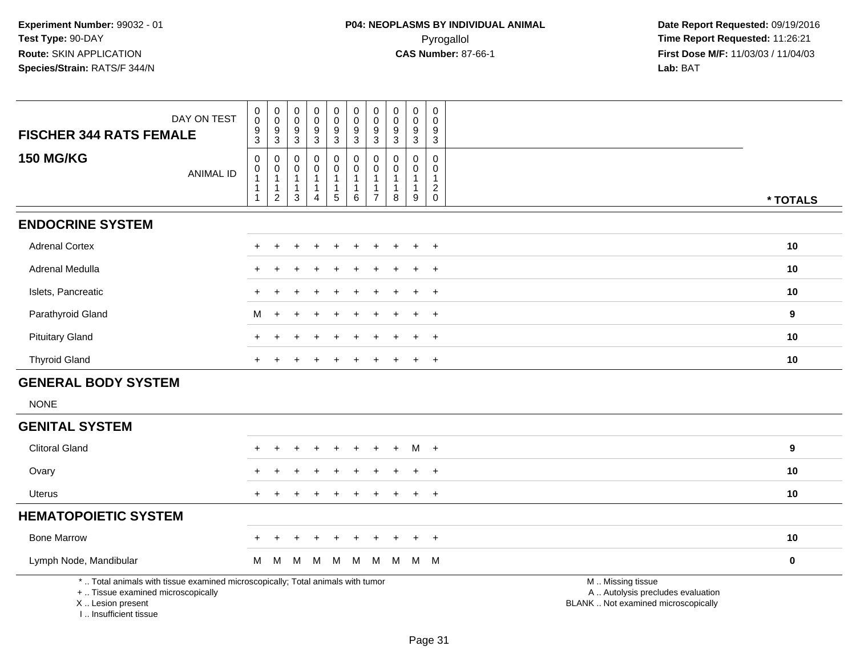| DAY ON TEST<br><b>FISCHER 344 RATS FEMALE</b>                                                                              | $\begin{smallmatrix} 0\\0 \end{smallmatrix}$<br>$\frac{9}{3}$ | $\pmb{0}$<br>$\mathsf{O}\xspace$<br>9      | 0<br>$\mathbf 0$<br>9  | $\pmb{0}$<br>$\mathbf 0$<br>9                  | $\begin{smallmatrix}0\0\0\end{smallmatrix}$<br>$\boldsymbol{9}$ | 0<br>$\ddot{\mathbf{0}}$<br>$9\,$  | $\pmb{0}$<br>$\ddot{\mathbf{0}}$<br>$\boldsymbol{9}$ | 0<br>$\mathbf 0$<br>9 | $\pmb{0}$<br>$\mathbf 0$<br>9         | 0<br>$\Omega$<br>9            |                                                      |                  |
|----------------------------------------------------------------------------------------------------------------------------|---------------------------------------------------------------|--------------------------------------------|------------------------|------------------------------------------------|-----------------------------------------------------------------|------------------------------------|------------------------------------------------------|-----------------------|---------------------------------------|-------------------------------|------------------------------------------------------|------------------|
| <b>150 MG/KG</b>                                                                                                           | 0<br>0                                                        | $\mathbf{3}$<br>0<br>0                     | $\mathbf{3}$<br>0<br>0 | $\overline{3}$<br>0<br>0                       | $\overline{3}$<br>0<br>$\mathsf 0$                              | $\overline{3}$<br>0<br>$\mathbf 0$ | $\overline{3}$<br>$\mathbf 0$<br>0                   | 3<br>0<br>0           | $\sqrt{3}$<br>$\Omega$<br>$\Omega$    | $\mathbf{3}$<br>0<br>$\Omega$ |                                                      |                  |
| <b>ANIMAL ID</b>                                                                                                           | $\overline{1}$<br>-1                                          | $\mathbf{1}$<br>$\mathbf{1}$<br>$\sqrt{2}$ | 1<br>$\mathbf{3}$      | $\mathbf{1}$<br>$\mathbf{1}$<br>$\overline{4}$ | 1<br>$\mathbf{1}$<br>5                                          | 1<br>$\,6\,$                       | $\overline{1}$<br>$\mathbf{1}$<br>$\overline{7}$     | 1<br>8                | 1<br>$\mathbf{1}$<br>$\boldsymbol{9}$ | $\mathbf{2}$<br>$\mathbf 0$   |                                                      | * TOTALS         |
| <b>ENDOCRINE SYSTEM</b>                                                                                                    |                                                               |                                            |                        |                                                |                                                                 |                                    |                                                      |                       |                                       |                               |                                                      |                  |
| <b>Adrenal Cortex</b>                                                                                                      |                                                               |                                            |                        |                                                |                                                                 |                                    |                                                      |                       |                                       | $\ddot{}$                     |                                                      | 10               |
| Adrenal Medulla                                                                                                            |                                                               |                                            |                        |                                                |                                                                 |                                    |                                                      |                       |                                       | $\ddot{}$                     |                                                      | 10               |
| Islets, Pancreatic                                                                                                         |                                                               |                                            |                        |                                                |                                                                 |                                    |                                                      |                       | $+$                                   | $\ddot{}$                     |                                                      | 10               |
| Parathyroid Gland                                                                                                          | М                                                             |                                            |                        |                                                |                                                                 |                                    |                                                      |                       |                                       | $\ddot{}$                     |                                                      | 9                |
| <b>Pituitary Gland</b>                                                                                                     | $+$                                                           |                                            |                        |                                                |                                                                 |                                    |                                                      |                       |                                       | $\ddot{}$                     |                                                      | 10               |
| <b>Thyroid Gland</b>                                                                                                       | $+$                                                           |                                            |                        |                                                | $\ddot{}$                                                       | $\ddot{}$                          |                                                      |                       | $\pm$                                 | $+$                           |                                                      | 10               |
| <b>GENERAL BODY SYSTEM</b>                                                                                                 |                                                               |                                            |                        |                                                |                                                                 |                                    |                                                      |                       |                                       |                               |                                                      |                  |
| <b>NONE</b>                                                                                                                |                                                               |                                            |                        |                                                |                                                                 |                                    |                                                      |                       |                                       |                               |                                                      |                  |
| <b>GENITAL SYSTEM</b>                                                                                                      |                                                               |                                            |                        |                                                |                                                                 |                                    |                                                      |                       |                                       |                               |                                                      |                  |
| <b>Clitoral Gland</b>                                                                                                      |                                                               |                                            |                        |                                                |                                                                 |                                    |                                                      | $+$                   | $M +$                                 |                               |                                                      | $\boldsymbol{9}$ |
| Ovary                                                                                                                      |                                                               |                                            |                        |                                                |                                                                 |                                    |                                                      |                       |                                       | $\ddot{}$                     |                                                      | 10               |
| Uterus                                                                                                                     | $+$                                                           |                                            |                        |                                                | $\ddot{}$                                                       | $\div$                             | $\ddot{}$                                            | +                     | $\ddot{}$                             | $+$                           |                                                      | 10               |
| <b>HEMATOPOIETIC SYSTEM</b>                                                                                                |                                                               |                                            |                        |                                                |                                                                 |                                    |                                                      |                       |                                       |                               |                                                      |                  |
| <b>Bone Marrow</b>                                                                                                         |                                                               |                                            | ÷                      |                                                | $\ddot{}$                                                       | $\ddot{}$                          | $\div$                                               | $\ddot{}$             | $+$                                   | $+$                           |                                                      | 10               |
| Lymph Node, Mandibular                                                                                                     | M                                                             | M                                          | M                      | M                                              | M                                                               | M                                  | M                                                    | M                     | M M                                   |                               |                                                      | $\pmb{0}$        |
| *  Total animals with tissue examined microscopically; Total animals with tumor<br>$\perp$ Tierue examined microsconically |                                                               |                                            |                        |                                                |                                                                 |                                    |                                                      |                       |                                       |                               | M. Missing tissue<br>A Autolveis produdes evaluation |                  |

+ .. Tissue examined microscopically

X .. Lesion present

I .. Insufficient tissue

A .. Autolysis precludes evaluation

Lesion present BLANK .. Not examined microscopically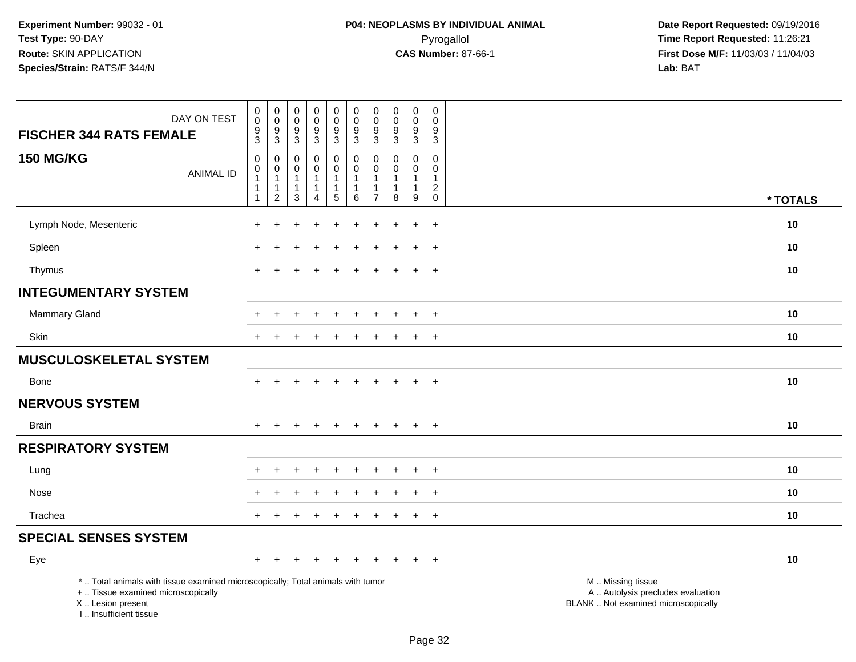| DAY ON TEST<br><b>FISCHER 344 RATS FEMALE</b>                                                                                                                       | $\begin{smallmatrix} 0\\0 \end{smallmatrix}$<br>$\frac{9}{3}$                    | $\begin{smallmatrix}0\\0\end{smallmatrix}$<br>$\frac{9}{3}$ | 0<br>$\overline{0}$<br>$\frac{9}{3}$                              | $_0^0$<br>$\frac{9}{3}$                                            | $\begin{smallmatrix} 0\\0 \end{smallmatrix}$<br>$\frac{9}{3}$                     | $\begin{smallmatrix} 0\\0 \end{smallmatrix}$<br>$\frac{9}{3}$           | 0<br>$\mathbf 0$<br>$9\,$<br>$\mathbf{3}$      | $\mathsf{O}\xspace$<br>$\overline{0}$<br>$\frac{9}{3}$         | $\begin{smallmatrix}0\0\0\end{smallmatrix}$<br>$\frac{9}{3}$ | $\pmb{0}$<br>$\mathbf 0$<br>$\frac{9}{3}$                  |                                                                                               |
|---------------------------------------------------------------------------------------------------------------------------------------------------------------------|----------------------------------------------------------------------------------|-------------------------------------------------------------|-------------------------------------------------------------------|--------------------------------------------------------------------|-----------------------------------------------------------------------------------|-------------------------------------------------------------------------|------------------------------------------------|----------------------------------------------------------------|--------------------------------------------------------------|------------------------------------------------------------|-----------------------------------------------------------------------------------------------|
| <b>150 MG/KG</b><br><b>ANIMAL ID</b>                                                                                                                                | $\mathsf{O}\xspace$<br>$\pmb{0}$<br>$\mathbf{1}$<br>$\mathbf{1}$<br>$\mathbf{1}$ | 0<br>$\pmb{0}$<br>$\mathbf{1}$<br>$\frac{1}{2}$             | 0<br>$\Omega$<br>$\overline{1}$<br>$\mathbf{1}$<br>$\overline{3}$ | 0<br>$\mathbf 0$<br>$\mathbf{1}$<br>$\mathbf{1}$<br>$\overline{4}$ | $\pmb{0}$<br>$\mathbf 0$<br>$\mathbf{1}$<br>$\begin{array}{c} 1 \\ 5 \end{array}$ | $\mathbf 0$<br>$\mathbf 0$<br>$\overline{1}$<br>$\mathbf{1}$<br>$\,6\,$ | 0<br>$\Omega$<br>$\mathbf 1$<br>$\overline{7}$ | 0<br>$\Omega$<br>$\mathbf 1$<br>$\mathbf{1}$<br>$\overline{8}$ | 0<br>$\mathbf 0$<br>$\mathbf{1}$<br>$\mathbf{1}$<br>9        | $\mathbf 0$<br>$\mathbf 0$<br>$\mathbf{1}$<br>$^2_{\rm 0}$ | * TOTALS                                                                                      |
|                                                                                                                                                                     |                                                                                  |                                                             |                                                                   |                                                                    |                                                                                   |                                                                         |                                                |                                                                |                                                              |                                                            |                                                                                               |
| Lymph Node, Mesenteric                                                                                                                                              |                                                                                  |                                                             |                                                                   |                                                                    |                                                                                   |                                                                         |                                                |                                                                |                                                              | $\overline{+}$                                             | 10                                                                                            |
| Spleen                                                                                                                                                              |                                                                                  |                                                             |                                                                   |                                                                    |                                                                                   |                                                                         |                                                |                                                                |                                                              | $+$                                                        | 10                                                                                            |
| Thymus                                                                                                                                                              | $\pm$                                                                            | $\ddot{}$                                                   |                                                                   | $\ddot{}$                                                          |                                                                                   |                                                                         |                                                |                                                                | $\ddot{}$                                                    | $+$                                                        | 10                                                                                            |
| <b>INTEGUMENTARY SYSTEM</b>                                                                                                                                         |                                                                                  |                                                             |                                                                   |                                                                    |                                                                                   |                                                                         |                                                |                                                                |                                                              |                                                            |                                                                                               |
| <b>Mammary Gland</b>                                                                                                                                                |                                                                                  |                                                             |                                                                   |                                                                    |                                                                                   |                                                                         |                                                |                                                                |                                                              | $\ddot{}$                                                  | 10                                                                                            |
| Skin                                                                                                                                                                | $\pm$                                                                            |                                                             |                                                                   |                                                                    |                                                                                   |                                                                         |                                                |                                                                | $\ddot{}$                                                    | $\ddot{}$                                                  | 10                                                                                            |
| MUSCULOSKELETAL SYSTEM                                                                                                                                              |                                                                                  |                                                             |                                                                   |                                                                    |                                                                                   |                                                                         |                                                |                                                                |                                                              |                                                            |                                                                                               |
| <b>Bone</b>                                                                                                                                                         | $+$                                                                              | $+$                                                         | $\ddot{}$                                                         | $+$                                                                | $+$                                                                               | $+$                                                                     | $+$                                            | $+$                                                            | $+$                                                          | $+$                                                        | 10                                                                                            |
| <b>NERVOUS SYSTEM</b>                                                                                                                                               |                                                                                  |                                                             |                                                                   |                                                                    |                                                                                   |                                                                         |                                                |                                                                |                                                              |                                                            |                                                                                               |
| <b>Brain</b>                                                                                                                                                        |                                                                                  |                                                             |                                                                   |                                                                    |                                                                                   |                                                                         |                                                |                                                                | $+$                                                          | $+$                                                        | 10                                                                                            |
| <b>RESPIRATORY SYSTEM</b>                                                                                                                                           |                                                                                  |                                                             |                                                                   |                                                                    |                                                                                   |                                                                         |                                                |                                                                |                                                              |                                                            |                                                                                               |
| Lung                                                                                                                                                                |                                                                                  | +                                                           |                                                                   |                                                                    | ÷                                                                                 |                                                                         |                                                |                                                                | $\ddot{}$                                                    | $^{+}$                                                     | 10                                                                                            |
| Nose                                                                                                                                                                |                                                                                  |                                                             |                                                                   |                                                                    |                                                                                   | $\overline{ }$                                                          |                                                |                                                                | $\ddot{+}$                                                   | $+$                                                        | 10                                                                                            |
| Trachea                                                                                                                                                             |                                                                                  |                                                             |                                                                   |                                                                    |                                                                                   |                                                                         |                                                |                                                                | $\ddot{}$                                                    | $+$                                                        | 10                                                                                            |
| <b>SPECIAL SENSES SYSTEM</b>                                                                                                                                        |                                                                                  |                                                             |                                                                   |                                                                    |                                                                                   |                                                                         |                                                |                                                                |                                                              |                                                            |                                                                                               |
| Eye                                                                                                                                                                 | $\div$                                                                           |                                                             |                                                                   |                                                                    |                                                                                   |                                                                         |                                                |                                                                |                                                              | $+$                                                        | 10                                                                                            |
| *  Total animals with tissue examined microscopically; Total animals with tumor<br>+  Tissue examined microscopically<br>X  Lesion present<br>I Insufficient tissue |                                                                                  |                                                             |                                                                   |                                                                    |                                                                                   |                                                                         |                                                |                                                                |                                                              |                                                            | M  Missing tissue<br>A  Autolysis precludes evaluation<br>BLANK  Not examined microscopically |